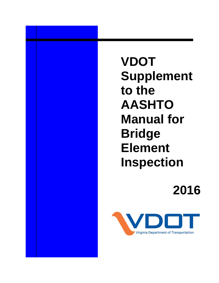**VDOT Supplement to the AASHTO Manual for Bridge Element Inspection**

**2016** 

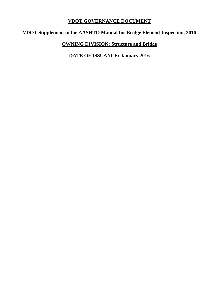# **VDOT GOVERNANCE DOCUMENT**

# **VDOT Supplement to the AASHTO Manual for Bridge Element Inspection, 2016**

# **OWNING DIVISION: Structure and Bridge**

**DATE OF ISSUANCE: January 2016**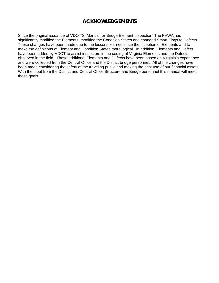# **ACKNOWLEDGEMENTS**

Since the original issuance of VDOT'S 'Manual for Bridge Element Inspection' The FHWA has significantly modified the Elements, modified the Condition States and changed Smart Flags to Defects. These changes have been made due to the lessons learned since the inception of Elements and to make the definitions of Element and Condition States more logical. In addition, Elements and Defect have been added by VDOT to assist inspectors in the coding of Virginia Elements and the Defects observed in the field. These additional Elements and Defects have been based on Virginia's experience and were collected from the Central Office and the District bridge personnel. All of the changes have been made considering the safety of the traveling public and making the best use of our financial assets. With the input from the District and Central Office Structure and Bridge personnel this manual will meet those goals.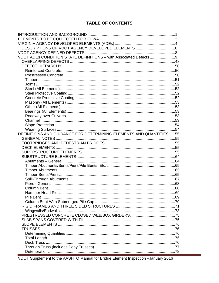# **TABLE OF CONTENTS**

| VDOT ADEs CONDITION STATE DEFINITIONS - with Associated Defects 9   |  |
|---------------------------------------------------------------------|--|
|                                                                     |  |
|                                                                     |  |
|                                                                     |  |
|                                                                     |  |
|                                                                     |  |
|                                                                     |  |
|                                                                     |  |
|                                                                     |  |
|                                                                     |  |
|                                                                     |  |
|                                                                     |  |
|                                                                     |  |
|                                                                     |  |
|                                                                     |  |
|                                                                     |  |
|                                                                     |  |
| DEFINITIONS AND GUIDANCE FOR DETERMINING ELEMENTS AND QUANTITIES 55 |  |
|                                                                     |  |
|                                                                     |  |
|                                                                     |  |
|                                                                     |  |
|                                                                     |  |
|                                                                     |  |
|                                                                     |  |
|                                                                     |  |
|                                                                     |  |
|                                                                     |  |
|                                                                     |  |
|                                                                     |  |
|                                                                     |  |
| Pile Bent                                                           |  |
|                                                                     |  |
|                                                                     |  |
|                                                                     |  |
|                                                                     |  |
|                                                                     |  |
|                                                                     |  |
| TRUSSES                                                             |  |
|                                                                     |  |
|                                                                     |  |
|                                                                     |  |
|                                                                     |  |
|                                                                     |  |
|                                                                     |  |

VDOT Supplement to the AASHTO Manual for Bridge Element Inspection -January 2016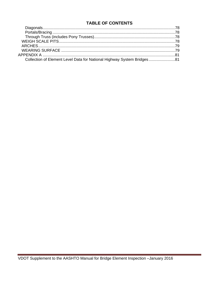# **TABLE OF CONTENTS**

| Collection of Element Level Data for National Highway System Bridges 81 |  |
|-------------------------------------------------------------------------|--|

÷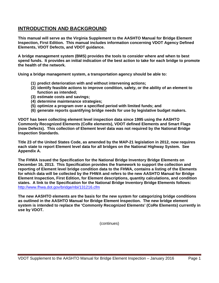# **INTRODUCTION AND BACKGROUND**

**This manual will serve as the Virginia Supplement to the AASHTO Manual for Bridge Element Inspection, First Edition. This manual includes information concerning VDOT Agency Defined Elements, VDOT Defects, and VDOT guidance.** 

**A bridge management system (BMS) provides the tools to consider where and when to best spend funds. It provides an initial indication of the best action to take for each bridge to promote the health of the network.** 

**Using a bridge management system, a transportation agency should be able to:** 

- **(1) predict deterioration with and without intervening actions;**
- **(2) identify feasible actions to improve condition, safety, or the ability of an element to function as intended;**
- **(3) estimate costs and savings;**
- **(4) determine maintenance strategies;**
- **(5) optimize a program over a specified period with limited funds; and**
- **(6) generate reports quantifying bridge needs for use by legislative budget makers.**

**VDOT has been collecting element level inspection data since 1995 using the AASHTO Commonly Recognized Elements (CoRe elements), VDOT defined Elements and Smart Flags (now Defects). This collection of Element level data was not required by the National Bridge Inspection Standards.** 

**Title 23 of the United States Code, as amended by the MAP-21 legislation in 2012, now requires each state to report Element level data for all bridges on the National Highway System. See Appendix A.**

**The FHWA issued the Specification for the National Bridge Inventory Bridge Elements on December 16, 2013. This Specification provides the framework to support the collection and reporting of Element level bridge condition data to the FHWA, contains a listing of the Elements for which data will be collected by the FHWA and refers to the new AASHTO Manual for Bridge Element Inspection, First Edition, for Element descriptions, quantity calculations, and condition states. A link to the Specification for the National Bridge Inventory Bridge Elements follows:** http://www.fhwa.dot.gov/bridge/nbi/131216.cfm

**The new AASHTO elements are the basis for the new system for categorizing bridge conditions as outlined in the AASHTO Manual for Bridge Element Inspection. The new bridge element system is intended to replace the 'Commonly Recognized Elements' (CoRe Elements) currently in use by VDOT.**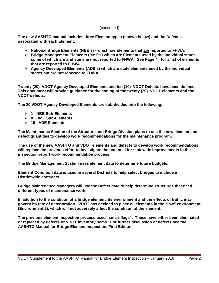**The new AASHTO manual includes three Element types (shown below) and the Defects associated with each Element:** 

- **National Bridge Elements (NBE's) which are Elements that are reported to FHWA.**
- **Bridge Management Elements (BME's) which are Elements used by the individual states some of which are and some are not reported to FHWA. See Page 4 for a list of elements that are reported to FHWA.**
- **Agency Developed Elements (ADE's) which are state elements used by the individual states but are not reported to FHWA.**

**Twenty (20) VDOT Agency Developed Elements and ten (10) VDOT Defects have been defined. This document will provide guidance for the coding of the twenty (20) VDOT elements and the VDOT defects.** 

**The 20 VDOT Agency Developed Elements are sub-divided into the following.**

- **1 NBE Sub-Elements**
- **0 BME Sub-Elements**
- **19 ADE Elements**

**The Maintenance Section of the Structure and Bridge Division plans to use the new element and defect quantities to develop work recommendations for the maintenance program.**

**The use of the new AASHTO and VDOT elements and defects to develop work recommendations will replace the previous effort to investigate the potential for statewide improvements in the inspection report work recommendation process.** 

**The Bridge Management System uses element data to determine future budgets.**

**Element Condition data is used in several Districts to help select bridges to include in Districtwide contracts.** 

**Bridge Maintenance Managers will use the Defect data to help determine structures that need different types of maintenance work.** 

**In addition to the condition of a bridge element, its environment and the effects of traffic may govern its rate of deterioration. VDOT has decided to place all elements in the "low" environment (Environment 2), which will not adversely affect the condition of the element.** 

**The previous element inspection process used "smart flags". These have either been eliminated or replaced by defects or VDOT inventory items. For further discussion of defects see the AASHTO Manual for Bridge Element Inspection, First Edition.**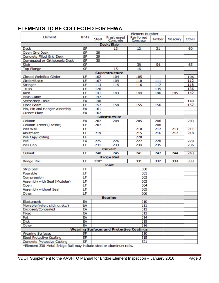# **E LEMENT S TO BE COLLEC TED FO R FHWA**

|                                    | <b>Element Number</b> |              |                                                 |                        |               |         |       |
|------------------------------------|-----------------------|--------------|-------------------------------------------------|------------------------|---------------|---------|-------|
| Element                            | Units                 | <b>Steel</b> | Prestressed<br>Concrete                         | Reinforced<br>Concrete | <b>Timber</b> | Masonry | Other |
|                                    |                       |              | Deck/Slab                                       |                        |               |         |       |
| <b>Deck</b>                        | SF                    |              | 13                                              | 12                     | 31            |         | 60    |
| <b>Open Grid Deck</b>              | <b>SF</b>             | 28           |                                                 |                        |               |         |       |
| <b>Concrete Filled Grid Deck</b>   | SF                    | 29           |                                                 |                        |               |         |       |
| Corrugated or Orthotropic Deck     | <b>SF</b>             | 30           |                                                 |                        |               |         |       |
| Slab                               | <b>SF</b>             |              |                                                 | 38                     | 54            |         | 65    |
| <b>Top Flange</b>                  | SF                    |              | 15                                              | 16                     |               |         |       |
|                                    |                       |              | <b>Superstructure</b>                           |                        |               |         |       |
| Closed Web/Box Girder              | LF                    | 102          | 104                                             | 105                    |               |         | 106   |
| Girder/Beam                        | LF                    | 107          | 109                                             | 110                    | 111           |         | 112   |
| <b>Stringer</b>                    | LF                    | 113          | 115                                             | 116                    | 117           |         | 118   |
| <b>Truss</b>                       | LF                    | 120          |                                                 |                        | 135           |         | 136   |
| Arch                               | LF                    | 141          | 143                                             | 144                    | 146           | 145     | 142   |
| <b>Main Cable</b>                  | LF                    | 147          |                                                 |                        |               |         |       |
| <b>Secondary Cable</b>             | EA                    | 148          |                                                 |                        |               |         | 149   |
| <b>Floor Beam</b>                  | LF                    | 152          | 154                                             | 155                    | 156           |         | 157   |
| Pin, Pin and Hanger Assembly       | EA                    | 161          |                                                 |                        |               |         |       |
| <b>Gusset Plate</b>                | EA                    | 162          |                                                 |                        |               |         |       |
|                                    |                       |              | <b>Substructure</b>                             |                        |               |         |       |
| Column                             | EA                    | 202          | 204                                             | 205                    | 206           |         | 203   |
| Column Tower (Trestle)             | LF                    | 207          |                                                 |                        | 208           |         |       |
| Pier Wall                          | LF                    |              |                                                 | 210                    | 212           | 213     | 211   |
| Abutment                           | LF                    | 219          |                                                 | 215                    | 216           | 217     | 218   |
| Pile Cap/Footing                   | LF                    |              |                                                 | 220                    |               |         |       |
| Pile                               | EA                    | 225          | 226                                             | 227                    | 228           |         | 229   |
| <b>Pier Cap</b>                    | LF                    | 231          | 233                                             | 234                    | 235           |         | 236   |
| <b>Culvert</b>                     |                       |              |                                                 |                        |               |         |       |
| <b>Culvert</b>                     | LF                    | 240          | 245                                             | 241                    | 242           | 244     | 243   |
|                                    |                       |              | <b>Bridge Rail</b>                              |                        |               |         |       |
| <b>Bridge Rail</b>                 | LF                    | $330*$       |                                                 | 331                    | 332           | 334     | 333   |
|                                    |                       |              | <b>Joint</b>                                    |                        |               |         |       |
| <b>Strip Seal</b>                  | LF                    |              |                                                 | 300                    |               |         |       |
| Pourable                           | LF                    |              |                                                 | 301                    |               |         |       |
| Compression                        | LF                    |              |                                                 | 302                    |               |         |       |
| Assembly with Seal (Modular)       | LF                    |              |                                                 | 303                    |               |         |       |
| Open                               | LF                    |              |                                                 | 304                    |               |         |       |
| Assembly without Seal              | LF                    |              |                                                 | 305                    |               |         |       |
| Other                              | LF                    |              |                                                 | 306                    |               |         |       |
|                                    |                       |              | <b>Bearing</b>                                  |                        |               |         |       |
| Elastomeric                        | EA                    | 310          |                                                 |                        |               |         |       |
| Movable (roller, sliding, etc.)    | EA                    | 311          |                                                 |                        |               |         |       |
| Enclosed/Concealed                 | EA                    | 312          |                                                 |                        |               |         |       |
| Fixed                              | EA                    |              |                                                 | 313                    |               |         |       |
| Pot                                | EA                    |              |                                                 | 314                    |               |         |       |
| <b>Disk</b>                        | EA                    |              |                                                 | 315                    |               |         |       |
| Other                              | EA                    |              |                                                 | 316                    |               |         |       |
|                                    |                       |              | <b>Wearing Surfaces and Protective Coatings</b> |                        |               |         |       |
| <b>Wearing Surfaces</b>            | <b>SF</b>             |              |                                                 | 510                    |               |         |       |
| <b>Steel Protective Coating</b>    | <b>SF</b>             |              |                                                 | 515                    |               |         |       |
| <b>Concrete Protective Coating</b> | <b>SF</b>             | 521          |                                                 |                        |               |         |       |

\*Element 330-Metal Bridge Rail may include steel or aluminum rails.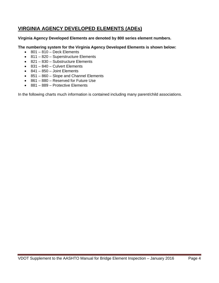# **VIRGINIA AGENCY DEVELOPED ELEMENTS (ADEs)**

#### **Virginia Agency Developed Elements are denoted by 800 series element numbers.**

#### **The numbering system for the Virginia Agency Developed Elements is shown below:**

- $\bullet$  801 810 Deck Elements
- 811 820 Superstructure Elements
- 821 830 Substructure Elements
- 831 840 Culvert Elements
- $\cdot$  841 850 Joint Elements
- 851 860 Slope and Channel Elements
- 861 880 Reserved for Future Use
- 881 889 Protective Elements

In the following charts much information is contained including many parent/child associations.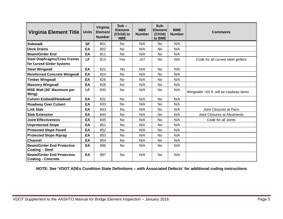| <b>Virginia Element Title</b>                                  | <b>Units</b> | Virginia<br><b>Element</b><br><b>Number</b> | $Sub -$<br><b>Element</b><br>(Child) to<br><b>NBE</b> | <b>NBE</b><br><b>Number</b> | Sub-<br><b>Element</b><br>(Child)<br>to BME | <b>BME</b><br><b>Number</b> | <b>Comments</b>                         |
|----------------------------------------------------------------|--------------|---------------------------------------------|-------------------------------------------------------|-----------------------------|---------------------------------------------|-----------------------------|-----------------------------------------|
| <b>Sidewalk</b>                                                | <b>SF</b>    | 801                                         | <b>No</b>                                             | N/A                         | <b>No</b>                                   | N/A                         |                                         |
| <b>Deck Drains</b>                                             | EA           | 802                                         | <b>No</b>                                             | N/A                         | <b>No</b>                                   | N/A                         |                                         |
| <b>Beam/Girder End</b>                                         | EA           | 811                                         | <b>No</b>                                             | N/A                         | No                                          | N/A                         |                                         |
| <b>Steel Diaphragms/Cross Frames</b>                           | LF           | 813                                         | Yes                                                   | 107                         | No                                          | N/A                         | Code for all curved steel girders       |
| for Curved Girder Systems                                      |              |                                             |                                                       |                             |                                             |                             |                                         |
| <b>Steel Wingwall</b>                                          | EA           | 822                                         | <b>No</b>                                             | N/A                         | No                                          | N/A                         |                                         |
| <b>Reinforced Concrete Wingwall</b>                            | EA           | 824                                         | <b>No</b>                                             | N/A                         | No                                          | N/A                         |                                         |
| <b>Timber Wingwall</b>                                         | EA           | 826                                         | No                                                    | N/A                         | No                                          | N/A                         |                                         |
| <b>Masonry Wingwall</b>                                        | EA           | 828                                         | <b>No</b>                                             | N/A                         | <b>No</b>                                   | N/A                         |                                         |
| MSE Wall (50' Maximum per<br>Wing)                             | LF           | 830                                         | <b>No</b>                                             | N/A                         | <b>No</b>                                   | N/A                         | Wingwalls >50 ft. will be roadway items |
| <b>Culvert Endwall/Headwall</b>                                | EA           | 831                                         | <b>No</b>                                             | N/A                         | <b>No</b>                                   | N/A                         |                                         |
| <b>Roadway Over Culvert</b>                                    | EA           | 833                                         | <b>No</b>                                             | N/A                         | No                                          | N/A                         |                                         |
| <b>Link Slab</b>                                               | EA           | 843                                         | <b>No</b>                                             | N/A                         | <b>No</b>                                   | N/A                         | Joint Closures at Piers                 |
| <b>Slab Extension</b>                                          | EA           | 844                                         | <b>No</b>                                             | N/A                         | No                                          | N/A                         | Joint Closures at Abutments             |
| <b>Joint Effectiveness</b>                                     | EA           | 845                                         | No                                                    | N/A                         | No                                          | N/A                         | Code for all Joints                     |
| <b>Unprotected Slope</b>                                       | EA           | 851                                         | <b>No</b>                                             | N/A                         | No                                          | N/A                         |                                         |
| <b>Protected Slope Paved</b>                                   | EA           | 852                                         | No                                                    | N/A                         | No                                          | N/A                         |                                         |
| <b>Protected Slope Riprap</b>                                  | EA           | 853                                         | <b>No</b>                                             | N/A                         | <b>No</b>                                   | N/A                         |                                         |
| <b>Channel</b>                                                 | EA           | 854                                         | <b>No</b>                                             | N/A                         | <b>No</b>                                   | N/A                         |                                         |
| <b>Beam/Girder End Protective</b><br><b>Coating - Steel</b>    | EA           | 886                                         | No                                                    | N/A                         | No.                                         | N/A                         |                                         |
| <b>Beam/Girder End Protective</b><br><b>Coating - Concrete</b> | EA           | 887                                         | No                                                    | N/A                         | No                                          | N/A                         |                                         |

**NOTE: See 'VDOT ADEs Condition State Definitions – with Associated Defects' for additional coding instructions**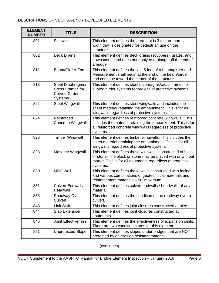#### DESCRIPTIONS OF VDOT AGENCY DEVELOPED ELEMENTS

| <b>ELEMENT</b><br><b>NUMBER</b> | <b>TITLE</b>                                                                           | <b>DESCRIPTION</b>                                                                                                                                                                                |
|---------------------------------|----------------------------------------------------------------------------------------|---------------------------------------------------------------------------------------------------------------------------------------------------------------------------------------------------|
| 801                             | Sidewalk                                                                               | This element defines the area that is 3 feet or more in<br>width that is designated for pedestrian use on the<br>structure.                                                                       |
| 802                             | <b>Deck Drains</b>                                                                     | This element defines deck drains (scuppers), grates, and<br>downspouts and does not apply to drainage off the end of<br>a bridge                                                                  |
| 811                             | Beam/Girder End                                                                        | This element defines the last 5 feet of a beam/girder end.<br>Measurement shall begin at the end of the beam/girder<br>and continue toward the center of the structure.                           |
| 813                             | Steel Diaphragms/<br><b>Cross Frames for</b><br><b>Curved Girder</b><br><b>Systems</b> | This element defines steel diaphragms/cross frames for<br>curved girder systems regardless of protective systems.                                                                                 |
| 822                             | <b>Steel Wingwall</b>                                                                  | This element defines steel wingwalls and includes the<br>sheet material retaining the embankment. This is for all<br>wingwalls regardless of protective systems.                                  |
| 824                             | Reinforced<br>Concrete Wingwall                                                        | This element defines reinforced concrete wingwalls. This<br>includes the material retaining the embankment. This is for<br>all reinforced concrete wingwalls regardless of protective<br>systems. |
| 826                             | <b>Timber Wingwall</b>                                                                 | This element defines timber wingwalls. This includes the<br>sheet material retaining the embankment. This is for all<br>wingwalls regardless of protective system.                                |
| 828                             | <b>Masonry Wingwall</b>                                                                | This element defines those wingwalls constructed of block<br>or stone. The block or stone may be placed with or without<br>mortar. This is for all abutments regardless of protective<br>systems. |
| 830                             | <b>MSE Wall</b>                                                                        | This element defines those walls constructed with facing<br>and various combinations of geotechnical materials and<br>reinforcement materials - 50' maximum.                                      |
| 831                             | Culvert Endwall /<br>Headwall                                                          | This element defines culvert endwalls / headwalls of any<br>material.                                                                                                                             |
| 833                             | Roadway Over<br>Culvert                                                                | This element defines the condition of the roadway over a<br>culvert.                                                                                                                              |
| 843                             | Link Slab                                                                              | This element defines joint closures constructed at piers.                                                                                                                                         |
| 844                             | Slab Extension                                                                         | This element defines joint closures constructed at<br>abutments.                                                                                                                                  |
| 845                             | <b>Joint Effectiveness</b>                                                             | This element defines the effectiveness of expansion joints.<br>There are two condition states for this element.                                                                                   |
| 851                             | <b>Unprotected Slope</b>                                                               | This element defines slopes under bridges that are NOT<br>protected by an erosion resistant material.                                                                                             |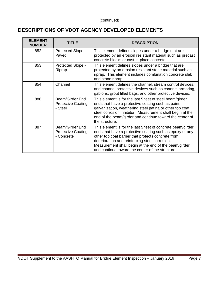# **DESCRIPTIONS OF VDOT AGENCY DEVELOPED ELEMENTS**

| <b>ELEMENT</b><br><b>NUMBER</b> | TITLE                                                      | <b>DESCRIPTION</b>                                                                                                                                                                                                                                                                                                                           |
|---------------------------------|------------------------------------------------------------|----------------------------------------------------------------------------------------------------------------------------------------------------------------------------------------------------------------------------------------------------------------------------------------------------------------------------------------------|
| 852                             | Protected Slope -<br>Paved                                 | This element defines slopes under a bridge that are<br>protected by an erosion resistant material such as precast<br>concrete blocks or cast-in-place concrete.                                                                                                                                                                              |
| 853                             | Protected Slope -<br>Riprap                                | This element defines slopes under a bridge that are<br>protected by an erosion resistant stone material such as<br>riprap. This element includes combination concrete slab<br>and stone riprap.                                                                                                                                              |
| 854                             | Channel                                                    | This element defines the channel, stream control devices,<br>and channel protective devices such as channel armoring,<br>gabions, grout filled bags, and other protective devices.                                                                                                                                                           |
| 886                             | Beam/Girder End<br><b>Protective Coating</b><br>- Steel    | This element is for the last 5 feet of steel beam/girder<br>ends that have a protective coating such as paint,<br>galvanization, weathering steel patina or other top coat<br>steel corrosion inhibitor. Measurement shall begin at the<br>end of the beam/girder and continue toward the center of<br>the structure.                        |
| 887                             | Beam/Girder End<br><b>Protective Coating</b><br>- Concrete | This element is for the last 5 feet of concrete beam/girder<br>ends that have a protective coating such as epoxy or any<br>other top coat barrier that protects concrete from<br>deterioration and reinforcing steel corrosion.<br>Measurement shall begin at the end of the beam/girder<br>and continue toward the center of the structure. |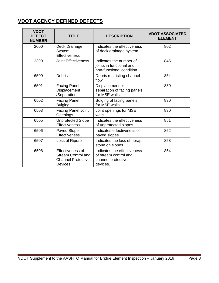# **VDOT AGENCY DEFINED DEFECTS**

| <b>VDOT</b><br><b>DEFECT</b><br><b>NUMBER</b> | <b>TITLE</b>                                                                                 | <b>DESCRIPTION</b>                                                                     | <b>VDOT ASSOCIATED</b><br><b>ELEMENT</b> |
|-----------------------------------------------|----------------------------------------------------------------------------------------------|----------------------------------------------------------------------------------------|------------------------------------------|
| 2000                                          | Deck Drainage<br>System<br><b>Effectiveness</b>                                              | Indicates the effectiveness<br>of deck drainage system.                                | 802                                      |
| 2399                                          | <b>Joint Effectiveness</b>                                                                   | Indicates the number of<br>joints in functional and<br>non-functional condition.       | 845                                      |
| 6500                                          | <b>Debris</b>                                                                                | Debris restricting channel<br>flow.                                                    | 854                                      |
| 6501                                          | <b>Facing Panel</b><br>Displacement<br>/Separation                                           | Displacement or<br>separation of facing panels<br>for MSE walls                        | 830                                      |
| 6502                                          | <b>Facing Panel</b><br><b>Bulging</b>                                                        | Bulging of facing panels<br>for MSE walls.                                             | 830                                      |
| 6503                                          | <b>Facing Panel Joint</b><br>Openings                                                        | Joint openings for MSE<br>walls                                                        | 830                                      |
| 6505                                          | <b>Unprotected Slope</b><br><b>Effectiveness</b>                                             | Indicates the effectiveness<br>of unprotected slopes.                                  | 851                                      |
| 6506                                          | <b>Paved Slope</b><br>Effectiveness                                                          | Indicates effectiveness of<br>paved slopes                                             | 852                                      |
| 6507                                          | Loss of Riprap                                                                               | Indicates the loss of riprap<br>stone on slopes.                                       | 853                                      |
| 6508                                          | Effectiveness of<br><b>Stream Control and</b><br><b>Channel Protective</b><br><b>Devices</b> | Indicates the effectiveness<br>of stream control and<br>channel protective<br>devices. | 854                                      |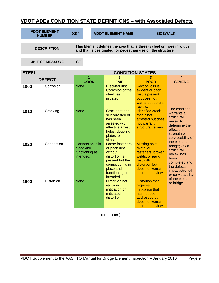# **VDOT ADEs CONDITION STATE DEFINITIONS – with Associated Defects**

| <b>VDOT ELEMENT</b><br><b>NUMBER</b> | 801 |                                                                                                                                      | <b>VDOT ELEMENT NAME</b> | <b>SIDEWALK</b> |  |  |  |  |
|--------------------------------------|-----|--------------------------------------------------------------------------------------------------------------------------------------|--------------------------|-----------------|--|--|--|--|
|                                      |     |                                                                                                                                      |                          |                 |  |  |  |  |
| <b>DESCRIPTION</b>                   |     | This Element defines the area that is three (3) feet or more in width<br>and that is designated for pedestrian use on the structure. |                          |                 |  |  |  |  |

UNIT OF MEASURE | SF

| <b>STEEL</b> |                   | <b>CONDITION STATES</b>                                      |                                                                                                                                                |                                                                                                                                                     |                                                                                                                                            |  |  |
|--------------|-------------------|--------------------------------------------------------------|------------------------------------------------------------------------------------------------------------------------------------------------|-----------------------------------------------------------------------------------------------------------------------------------------------------|--------------------------------------------------------------------------------------------------------------------------------------------|--|--|
|              |                   | 1                                                            | 2                                                                                                                                              | 3                                                                                                                                                   | 4                                                                                                                                          |  |  |
|              | <b>DEFECT</b>     | <b>GOOD</b>                                                  | <b>FAIR</b>                                                                                                                                    | <b>POOR</b>                                                                                                                                         | <b>SEVERE</b>                                                                                                                              |  |  |
| 1000         | Corrosion         | <b>None</b>                                                  | Freckled rust.<br>Corrosion of the<br>steel has<br>initiated.                                                                                  | <b>Section loss is</b><br>evident or pack<br>rust is present<br>but does not<br>warrant structural<br>review.                                       |                                                                                                                                            |  |  |
| 1010         | Cracking          | <b>None</b>                                                  | Crack that has<br>self-arrested or<br>has been<br>arrested with<br>effective arrest<br>holes, doubling<br>plates, or<br>similar.               | <b>Identified crack</b><br>that is not<br>arrested but does<br>not warrant<br>structural review.                                                    | The condition<br>warrants a<br>structural<br>review to<br>determine the<br>effect on<br>strength or<br>serviceability of<br>the element or |  |  |
| 1020         | Connection        | Connection is in<br>place and<br>functioning as<br>intended. | Loose fasteners<br>or pack rust<br>without<br>distortion is<br>present but the<br>connection is in<br>place and<br>functioning as<br>intended. | <b>Missing bolts,</b><br>rivets, or<br>fasteners; broken<br>welds; or pack<br>rust with<br>distortion but<br>does not warrant<br>structural review. | bridge; OR a<br>structural<br>review has<br>been<br>completed and<br>the defects<br>impact strength<br>or serviceability<br>of the element |  |  |
| 1900         | <b>Distortion</b> | <b>None</b>                                                  | <b>Distortion not</b><br>requiring<br>mitigation or<br>mitigated<br>distortion.                                                                | <b>Distortion that</b><br>requires<br>mitigation that<br>has not been<br>addressed but<br>does not warrant<br>structural review.                    | or bridge                                                                                                                                  |  |  |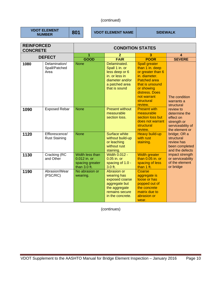**VDOT ELEMENT** 

**801** VDOT ELEMENT NAME SIDEWALK

| <b>REINFORCED</b><br><b>CONCRETE</b> |                                        | <b>CONDITION STATES</b>                                            |                                                                                                                          |                                                                                                                                                                                                 |                                                                                               |  |
|--------------------------------------|----------------------------------------|--------------------------------------------------------------------|--------------------------------------------------------------------------------------------------------------------------|-------------------------------------------------------------------------------------------------------------------------------------------------------------------------------------------------|-----------------------------------------------------------------------------------------------|--|
|                                      | <b>DEFECT</b>                          | 1                                                                  | $\mathbf{2}$                                                                                                             | 3                                                                                                                                                                                               | 4                                                                                             |  |
|                                      |                                        | <b>GOOD</b>                                                        | <b>FAIR</b>                                                                                                              | <b>POOR</b>                                                                                                                                                                                     | <b>SEVERE</b>                                                                                 |  |
| 1080                                 | Delamination/<br>Spall/Patched<br>Area | <b>None</b>                                                        | Delaminated.<br>Spall 1 in. or<br>less deep or 6<br>in. or less in<br>diameter and/or<br>a patched area<br>that is sound | <b>Spall greater</b><br>than 1 in. deep<br>or greater than 6<br>in. diameter.<br><b>Patched area</b><br>that is unsound<br>or showing<br>distress. Does<br>not warrant<br>structural<br>review. | The condition<br>warrants a<br>structural                                                     |  |
| 1090                                 | <b>Exposed Rebar</b>                   | <b>None</b>                                                        | <b>Present without</b><br>measurable<br>section loss.                                                                    | <b>Present with</b><br>measurable<br>section loss but<br>does not warrant<br>structural<br>review.                                                                                              | review to<br>determine the<br>effect on<br>strength or<br>serviceability of<br>the element or |  |
| 1120                                 | Efflorescence/<br><b>Rust Staining</b> | <b>None</b>                                                        | Surface white<br>without build-up<br>or leaching<br>without rust<br>staining.                                            | Heavy build-up<br>with rust<br>staining.                                                                                                                                                        | bridge; OR a<br>structural<br>review has<br>been completed<br>and the defects                 |  |
| 1130                                 | Cracking (RC<br>and Other              | Width less than<br>0.012 in. or<br>spacing greater<br>than 3.0 ft. | <b>Width 0.012 -</b><br>$0.05$ in. or<br>spacing of 1.0 -<br>$3.0$ ft.                                                   | <b>Width greater</b><br>than 0.05 in. or<br>spacing of less<br>than 1 ft.                                                                                                                       | impact strength<br>or serviceability<br>of the element<br>or bridge                           |  |
| 1190                                 | Abrasion/Wear<br>(PSC/RC)              | No abrasion or<br>wearing.                                         | Abrasion or<br>wearing has<br>exposed coarse<br>aggregate but<br>the aggregate<br>remains secure<br>in the concrete.     | Coarse<br>aggregate is<br>loose or has<br>popped out of<br>the concrete<br>matrix due to<br>abrasion or<br>wear.                                                                                |                                                                                               |  |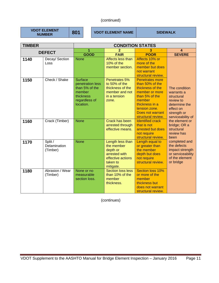**VDOT ELEMENT** 

**801** VDOT ELEMENT NAME SIDEWALK

| <b>TIMBER</b> |                                     | <b>CONDITION STATES</b>                                                                                   |                                                                                                           |                                                                                                                                                                                          |                                                                                                                          |  |  |
|---------------|-------------------------------------|-----------------------------------------------------------------------------------------------------------|-----------------------------------------------------------------------------------------------------------|------------------------------------------------------------------------------------------------------------------------------------------------------------------------------------------|--------------------------------------------------------------------------------------------------------------------------|--|--|
|               |                                     | 1                                                                                                         | $\overline{2}$                                                                                            | 3                                                                                                                                                                                        | 4                                                                                                                        |  |  |
|               | <b>DEFECT</b>                       | <b>GOOD</b>                                                                                               | <b>FAIR</b>                                                                                               | <b>POOR</b>                                                                                                                                                                              | <b>SEVERE</b>                                                                                                            |  |  |
| 1140          | Decay/ Section<br>Loss              | <b>None</b>                                                                                               | Affects less than<br>10% of the<br>member section.                                                        | Affects 10% or<br>more of the<br>member but does<br>not warrant<br>structural review.                                                                                                    |                                                                                                                          |  |  |
| 1150          | Check / Shake                       | <b>Surface</b><br>penetration less<br>than 5% of the<br>member<br>thickness<br>regardless of<br>location. | Penetrates 5%<br>to 50% of the<br>thickness of the<br>member and not<br>in a tension<br>zone.             | <b>Penetrates more</b><br>than 50% of the<br>thickness of the<br>member or more<br>than 5% of the<br>member<br>thickness in a<br>tension zone.<br>Does not warrant<br>structural review. | The condition<br>warrants a<br>structural<br>review to<br>determine the<br>effect on<br>strength or<br>serviceability of |  |  |
| 1160          | Crack (Timber)                      | <b>None</b>                                                                                               | <b>Crack has been</b><br>arrested through<br>effective means.                                             | <b>Identified crack</b><br>that is not<br>arrested but does<br>not require<br>structural review.                                                                                         | the element or<br>bridge; OR a<br>structural<br>review has<br>been                                                       |  |  |
| 1170          | Split /<br>Delamination<br>(Timber) | <b>None</b>                                                                                               | Length less than<br>the member<br>depth or<br>arrested with<br>effective actions<br>taken to<br>mitigate. | Length equal to<br>or greater than<br>the member<br>depth but does<br>not require<br>structural review.                                                                                  | completed and<br>the defects<br>impact strength<br>or serviceability<br>of the element<br>or bridge                      |  |  |
| 1180          | Abrasion / Wear<br>(Timber)         | None or no<br>measurable<br>section loss.                                                                 | <b>Section loss less</b><br>than 10% of the<br>member<br>thickness.                                       | Section loss 10%<br>or more of the<br>member<br>thickness but<br>does not warrant<br>structural review.                                                                                  |                                                                                                                          |  |  |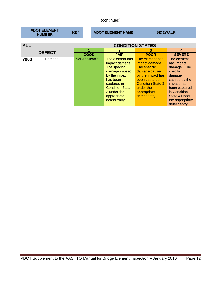| <b>VDOT ELEMENT</b><br><b>NUMBER</b> | 801 | <b>VDOT ELEMENT NAME</b> | <b>SIDEWALK</b> |
|--------------------------------------|-----|--------------------------|-----------------|
|                                      |     |                          |                 |

| <b>ALL</b>    |        | <b>CONDITION STATES</b> |                                       |                                              |                                  |  |
|---------------|--------|-------------------------|---------------------------------------|----------------------------------------------|----------------------------------|--|
| <b>DEFECT</b> |        |                         |                                       | 3                                            | 4                                |  |
|               |        | <b>GOOD</b>             | <b>FAIR</b>                           | <b>POOR</b>                                  | <b>SEVERE</b>                    |  |
| 7000          | Damage | Not Applicable          | The element has<br>impact damage.     | The element has<br>impact damage.            | The element<br>has impact        |  |
|               |        |                         | The specific<br>damage caused         | The specific<br>damage caused                | damage. The<br>specific          |  |
|               |        |                         | by the impact                         | by the impact has                            | damage                           |  |
|               |        |                         | has been<br>captured in               | been captured in<br><b>Condition State 3</b> | caused by the<br>impact has      |  |
|               |        |                         | <b>Condition State</b><br>2 under the | under the<br>appropriate                     | been captured<br>in Condition    |  |
|               |        |                         | appropriate                           | defect entry.                                | State 4 under                    |  |
|               |        |                         | defect entry.                         |                                              | the appropriate<br>defect entry. |  |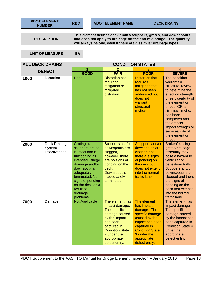**VDOT ELEMENT** 

```
DESCRIPTION
```
**This element defines deck drains/scuppers, grates, and downspouts and does not apply to drainage off the end of a bridge. The quantity will always be one, even if there are dissimilar drainage types.** 

UNIT OF MEASURE | EA

| <b>ALL DECK DRAINS</b> |                                          | <b>CONDITION STATES</b>                                                                                                                                                                                                                           |                                                                                                                                                                                         |                                                                                                                                                                                         |                                                                                                                                                                                                                                                                                               |
|------------------------|------------------------------------------|---------------------------------------------------------------------------------------------------------------------------------------------------------------------------------------------------------------------------------------------------|-----------------------------------------------------------------------------------------------------------------------------------------------------------------------------------------|-----------------------------------------------------------------------------------------------------------------------------------------------------------------------------------------|-----------------------------------------------------------------------------------------------------------------------------------------------------------------------------------------------------------------------------------------------------------------------------------------------|
|                        | <b>DEFECT</b>                            | 1                                                                                                                                                                                                                                                 | $\overline{2}$                                                                                                                                                                          | 3                                                                                                                                                                                       | 4                                                                                                                                                                                                                                                                                             |
|                        |                                          | <b>GOOD</b>                                                                                                                                                                                                                                       | <b>FAIR</b>                                                                                                                                                                             | <b>POOR</b>                                                                                                                                                                             | <b>SEVERE</b>                                                                                                                                                                                                                                                                                 |
| 1900                   | <b>Distortion</b>                        | <b>None</b>                                                                                                                                                                                                                                       | <b>Distortion not</b><br>requiring<br>mitigation or<br>mitigated<br>distortion.                                                                                                         | <b>Distortion that</b><br>requires<br>mitigation that<br>has not been<br>addressed but<br>does not<br>warrant<br>structural<br>review.                                                  | The condition<br>warrants a<br>structural review<br>to determine the<br>effect on strength<br>or serviceability of<br>the element or<br>bridge; OR a<br>structural review<br>has been<br>completed and<br>the defects<br>impact strength or<br>serviceability of<br>the element or<br>bridge. |
| 2000                   | Deck Drainage<br>System<br>Effectiveness | <b>Grating over</b><br>scuppers/drains<br>is intact and is<br>functioning as<br>intended. Bridge<br>drainage and/or<br>downspout is<br>adequately<br>terminated. No<br>signs of ponding<br>on the deck as a<br>result of<br>drainage<br>problems. | Scuppers and/or<br>downspouts are<br>clogged,<br>however, there<br>are no signs of<br>ponding on the<br>deck.<br>Downspout is<br>inadequately<br>terminated.                            | <b>Scuppers and/or</b><br>downspouts are<br>clogged and<br>there are signs<br>of ponding on<br>the deck but<br>does not extend<br>into the normal<br>traffic lane.                      | Broken/missing<br>grates/drainage<br>assembly may<br>pose a hazard to<br>vehicular or<br>pedestrian traffic.<br>Scuppers and/or<br>downspouts are<br>clogged and there<br>are signs of<br>ponding on the<br>deck that extends<br>into the normal<br>traffic lane.                             |
| 7000                   | Damage                                   | <b>Not Applicable</b>                                                                                                                                                                                                                             | The element has<br>impact damage.<br>The specific<br>damage caused<br>by the impact<br>has been<br>captured in<br><b>Condition State</b><br>2 under the<br>appropriate<br>defect entry. | The element<br>has impact<br>damage. The<br>specific damage<br>caused by the<br>impact has been<br>captured in<br><b>Condition State</b><br>3 under the<br>appropriate<br>defect entry. | The element has<br>impact damage.<br>The specific<br>damage caused<br>by the impact has<br>been captured in<br><b>Condition State 4</b><br>under the<br>appropriate<br>defect entry.                                                                                                          |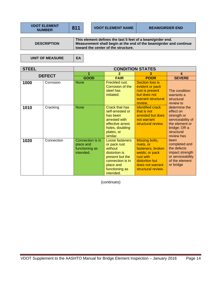**VDOT ELEMENT** 

**DESCRIPTION** 

**This element defines the last 5 feet of a beam/girder end. Measurement shall begin at the end of the beam/girder and continue toward the center of the structure.** 

UNIT OF MEASURE | EA

| <b>STEEL</b>  |            | <b>CONDITION STATES</b>                                      |                                                                                                                                                |                                                                                                                                              |                                                                                                                              |
|---------------|------------|--------------------------------------------------------------|------------------------------------------------------------------------------------------------------------------------------------------------|----------------------------------------------------------------------------------------------------------------------------------------------|------------------------------------------------------------------------------------------------------------------------------|
| <b>DEFECT</b> |            | 1                                                            | $\mathbf{2}$                                                                                                                                   | 3                                                                                                                                            | $\boldsymbol{\Lambda}$                                                                                                       |
|               |            | <b>GOOD</b>                                                  | <b>FAIR</b>                                                                                                                                    | <b>POOR</b>                                                                                                                                  | <b>SEVERE</b>                                                                                                                |
| 1000          | Corrosion  | <b>None</b>                                                  | Freckled rust.<br>Corrosion of the<br>steel has<br>initiated.                                                                                  | Section loss is<br>evident or pack<br>rust is present<br>but does not<br>warrant structural<br>review.                                       | The condition<br>warrants a<br>structural<br>review to                                                                       |
| 1010          | Cracking   | <b>None</b>                                                  | <b>Crack that has</b><br>self-arrested or<br>has been<br>arrested with<br>effective arrest<br>holes, doubling<br>plates, or<br>similar.        | <b>Identified crack</b><br>that is not<br>arrested but does<br>not warrant<br>structural review.                                             | determine the<br>effect on<br>strength or<br>serviceability of<br>the element or<br>bridge; OR a<br>structural<br>review has |
| 1020          | Connection | Connection is in<br>place and<br>functioning as<br>intended. | Loose fasteners<br>or pack rust<br>without<br>distortion is<br>present but the<br>connection is in<br>place and<br>functioning as<br>intended. | Missing bolts,<br>rivets, or<br>fasteners; broken<br>welds; or pack<br>rust with<br>distortion but<br>does not warrant<br>structural review. | been<br>completed and<br>the defects<br>impact strength<br>or serviceability<br>of the element<br>or bridge                  |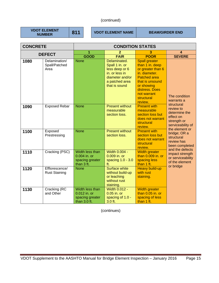**VDOT ELEMENT** 

**811** VDOT ELEMENT NAME BEAM/GIRDER END

| <b>CONCRETE</b> |                                        | <b>CONDITION STATES</b>                                            |                                                                                                                          |                                                                                                                                                                                                 |                                                                                                 |
|-----------------|----------------------------------------|--------------------------------------------------------------------|--------------------------------------------------------------------------------------------------------------------------|-------------------------------------------------------------------------------------------------------------------------------------------------------------------------------------------------|-------------------------------------------------------------------------------------------------|
|                 | <b>DEFECT</b>                          | 1<br>2<br>3                                                        |                                                                                                                          |                                                                                                                                                                                                 | 4                                                                                               |
|                 |                                        | <b>GOOD</b>                                                        | <b>FAIR</b>                                                                                                              | <b>POOR</b>                                                                                                                                                                                     | <b>SEVERE</b>                                                                                   |
| 1080            | Delamination/<br>Spall/Patched<br>Area | <b>None</b>                                                        | Delaminated.<br>Spall 1 in. or<br>less deep or 6<br>in. or less in<br>diameter and/or<br>a patched area<br>that is sound | <b>Spall greater</b><br>than 1 in. deep<br>or greater than 6<br>in. diameter.<br><b>Patched area</b><br>that is unsound<br>or showing<br>distress. Does<br>not warrant<br>structural<br>review. | The condition<br>warrants a                                                                     |
| 1090            | <b>Exposed Rebar</b>                   | <b>None</b>                                                        | <b>Present without</b><br>measurable<br>section loss.                                                                    | <b>Present with</b><br>measurable<br>section loss but<br>does not warrant<br>structural<br>review.                                                                                              | structural<br>review to<br>determine the<br>effect on<br>strength or<br>serviceability of       |
| 1100            | Exposed<br>Prestressing                | <b>None</b>                                                        | <b>Present without</b><br>section loss.                                                                                  | <b>Present with</b><br>section loss but<br>does not warrant<br>structural<br>review.                                                                                                            | the element or<br>bridge; OR a<br>structural<br>review has<br>been completed<br>and the defects |
| 1110            | Cracking (PSC)                         | Width less than<br>0.004 in. or<br>spacing greater<br>than 3 ft.   | Width 0.004 -<br>0.009 in. or<br>spacing 1.0 - 3.0<br>ft.                                                                | <b>Width greater</b><br>than 0.009 in. or<br>spacing less<br>than 1 ft.                                                                                                                         | impact strength<br>or serviceability<br>of the element<br>or bridge                             |
| 1120            | Efflorescence/<br><b>Rust Staining</b> | <b>None</b>                                                        | <b>Surface white</b><br>without build-up<br>or leaching<br>without rust<br>staining.                                     | <b>Heavy build-up</b><br>with rust<br>staining.                                                                                                                                                 |                                                                                                 |
| 1130            | Cracking (RC<br>and Other              | Width less than<br>0.012 in. or<br>spacing greater<br>than 3.0 ft. | <b>Width 0.012 -</b><br>0.05 in. or<br>spacing of 1.0 -<br>3.0 ft.                                                       | Width greater<br>than 0.05 in. or<br>spacing of less<br>than 1 ft.                                                                                                                              |                                                                                                 |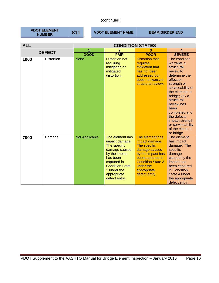**VDOT ELEMENT** 

**811** VDOT ELEMENT NAME BEAM/GIRDER END

| <b>ALL</b>    |                   | <b>CONDITION STATES</b> |                                                                                                                                                                                         |                                                                                                                                                                                      |                                                                                                                                                                                                                                                                                                       |
|---------------|-------------------|-------------------------|-----------------------------------------------------------------------------------------------------------------------------------------------------------------------------------------|--------------------------------------------------------------------------------------------------------------------------------------------------------------------------------------|-------------------------------------------------------------------------------------------------------------------------------------------------------------------------------------------------------------------------------------------------------------------------------------------------------|
| <b>DEFECT</b> |                   | 1                       | 2                                                                                                                                                                                       | З                                                                                                                                                                                    | 4                                                                                                                                                                                                                                                                                                     |
|               |                   | <b>GOOD</b>             | <b>FAIR</b>                                                                                                                                                                             | <b>POOR</b>                                                                                                                                                                          | <b>SEVERE</b>                                                                                                                                                                                                                                                                                         |
| 1900          | <b>Distortion</b> | <b>None</b>             | <b>Distortion not</b><br>requiring<br>mitigation or<br>mitigated<br>distortion.                                                                                                         | <b>Distortion that</b><br>requires<br>mitigation that<br>has not been<br>addressed but<br>does not warrant<br>structural review.                                                     | The condition<br>warrants a<br>structural<br>review to<br>determine the<br>effect on<br>strength or<br>serviceability of<br>the element or<br>bridge; OR a<br>structural<br>review has<br>been<br>completed and<br>the defects<br>impact strength<br>or serviceability<br>of the element<br>or bridge |
| 7000          | Damage            | <b>Not Applicable</b>   | The element has<br>impact damage.<br>The specific<br>damage caused<br>by the impact<br>has been<br>captured in<br><b>Condition State</b><br>2 under the<br>appropriate<br>defect entry. | The element has<br>impact damage.<br>The specific<br>damage caused<br>by the impact has<br>been captured in<br><b>Condition State 3</b><br>under the<br>appropriate<br>defect entry. | The element<br>has impact<br>damage. The<br>specific<br>damage<br>caused by the<br>impact has<br>been captured<br>in Condition<br>State 4 under<br>the appropriate<br>defect entry.                                                                                                                   |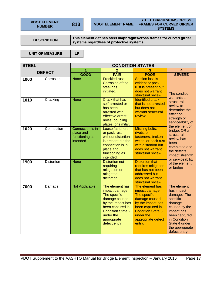**VDOT ELEMENT** 

**STEEL DIAPHRAGMS/CROSS FRAMES FOR CURVED GIRDER SYSTEMS** 

**DESCRIPTION This element defines steel diaphragms/cross frames for curved girder systems regardless of protective systems.** 

UNIT OF MEASURE | LF

**STEEL CONDITION STATES DEFECT**  $\begin{array}{|c|c|c|c|c|}\n\hline\n & 1 & 2 & 3 & 4 \\
\hline\n\text{GOD} & \text{EAB} & \text{BOOB} & \text{SEVE} \\
\hline\n\end{array}$ **GOOD FAIR POOR SEVERE**  1000 Corrosion None Freckled rust. Corrosion of the steel has initiated. Section loss is evident or pack rust is present but does not warrant structural review. The condition warrants a structural review to determine the effect on strength or serviceability of the element or bridge; OR a structural review has been completed and the defects impact strength or serviceability of the element or bridge **1010** Cracking None Crack that has self-arrested or has been arrested with effective arrest holes, doubling plates, or similar. Identified crack that is not arrested but does not warrant structural review. 1020 Connection Connection is in place and functioning as intended. Loose fasteners or pack rust without distortion is present but the connection is in place and functioning as intended. Missing bolts, rivets, or fasteners; broken welds; or pack rust with distortion but does not warrant structural review. **1900** Distortion None Distortion not requiring mitigation or mitigated distortion. Distortion that requires mitigation that has not been addressed but does not warrant structural review. **7000** Damage Not Applicable The element has impact damage. The specific damage caused by the impact has been captured in Condition State 2 under the appropriate defect entry. The element has impact damage. The specific damage caused by the impact has been captured in Condition State 3 under the appropriate defect entry. The element has impact damage. The specific damage caused by the impact has been captured in Condition State 4 under the appropriate defect entry.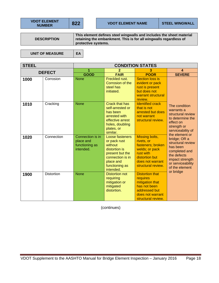**VDOT ELEMENT** 

**STEEL CONDITION STATES** 

**DESCRIPTION** 

**This element defines steel wingwalls and includes the sheet material retaining the embankment. This is for all wingwalls regardless of protective systems.** 

UNIT OF MEASURE | EA

**DEFECT**  $\begin{array}{|c|c|c|c|c|c|}\n\hline\n & 1 & 2 & 3 & 4 \\
\hline\n\text{GOD} & \text{EAB} & \text{POOB} & \text{SEVE} \\
\hline\n\end{array}$ **GOOD FAIR POOR SEVERE**  1000 Corrosion None Freckled rust. Corrosion of the steel has initiated. **Section loss is** evident or pack rust is present but does not warrant structural review. The condition warrants a structural review to determine the effect on strength or serviceability of the element or bridge; OR a structural review has been completed and the defects impact strength or serviceability of the element or bridge **1010** Cracking None Crack that has self-arrested or has been arrested with effective arrest holes, doubling plates, or similar. Identified crack that is not arrested but does not warrant structural review. **1020** | Connection | Connection is in place and functioning as intended. Loose fasteners or pack rust without distortion is present but the connection is in place and functioning as intended. Missing bolts, rivets, or fasteners; broken welds; or pack rust with distortion but does not warrant structural review. **1900** | Distortion | None | Distortion not requiring mitigation or Distortion that **requires** mitigation that

(continues)

mitigated distortion. has not been addressed but does not warrant structural review.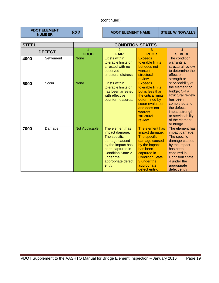**VDOT ELEMENT** 

**822** VDOT ELEMENT NAME STEEL WINGWALLS

| <b>STEEL</b> |               | <b>CONDITION STATES</b> |                                                                                                                                                                                      |                                                                                                                                                                                         |                                                                                                                                                                                             |
|--------------|---------------|-------------------------|--------------------------------------------------------------------------------------------------------------------------------------------------------------------------------------|-----------------------------------------------------------------------------------------------------------------------------------------------------------------------------------------|---------------------------------------------------------------------------------------------------------------------------------------------------------------------------------------------|
|              | <b>DEFECT</b> | 1                       | 2                                                                                                                                                                                    | 3                                                                                                                                                                                       | 4                                                                                                                                                                                           |
|              |               | <b>GOOD</b>             | <b>FAIR</b>                                                                                                                                                                          | <b>POOR</b>                                                                                                                                                                             | <b>SEVERE</b>                                                                                                                                                                               |
| 4000         | Settlement    | <b>None</b>             | <b>Exists within</b><br>tolerable limits or<br>arrested with no<br>observed<br>structural distress.                                                                                  | <b>Exceeds</b><br>tolerable limits<br>but does not<br>warrant<br>structural<br>review.                                                                                                  | The condition<br>warrants a<br>structural review<br>to determine the<br>effect on<br>strength or                                                                                            |
| 6000         | Scour         | <b>None</b>             | <b>Exists within</b><br>tolerable limits or<br>has been arrested<br>with effective<br>countermeasures.                                                                               | <b>Exceeds</b><br>tolerable limits<br>but is less than<br>the critical limits<br>determined by<br>scour evaluation<br>and does not<br>warrant<br>structural<br>review.                  | serviceability of<br>the element or<br>bridge; OR a<br>structural review<br>has been<br>completed and<br>the defects<br>impact strength<br>or serviceability<br>of the element<br>or bridge |
| 7000         | Damage        | Not Applicable          | The element has<br>impact damage.<br>The specific<br>damage caused<br>by the impact has<br>been captured in<br><b>Condition State 2</b><br>under the<br>appropriate defect<br>entry. | The element has<br>impact damage.<br>The specific<br>damage caused<br>by the impact<br>has been<br>captured in<br><b>Condition State</b><br>3 under the<br>appropriate<br>defect entry. | The element has<br>impact damage.<br>The specific<br>damage caused<br>by the impact<br>has been<br>captured in<br><b>Condition State</b><br>4 under the<br>appropriate<br>defect entry.     |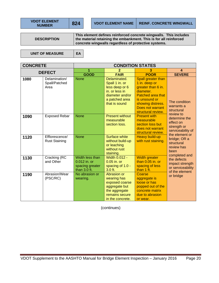**VDOT ELEMENT** 

**DESCRIPTION** 

**This element defines reinforced concrete wingwalls. This includes the material retaining the embankment. This is for all reinforced concrete wingwalls regardless of protective systems.** 

UNIT OF MEASURE | EA

| <b>CONCRETE</b> |                                        | <b>CONDITION STATES</b>                                              |                                                                                                                          |                                                                                                                                                                             |                                                                                     |
|-----------------|----------------------------------------|----------------------------------------------------------------------|--------------------------------------------------------------------------------------------------------------------------|-----------------------------------------------------------------------------------------------------------------------------------------------------------------------------|-------------------------------------------------------------------------------------|
| <b>DEFECT</b>   |                                        | 1                                                                    | 2                                                                                                                        | 3                                                                                                                                                                           | $\boldsymbol{4}$                                                                    |
|                 |                                        | <b>GOOD</b>                                                          | <b>FAIR</b>                                                                                                              | <b>POOR</b>                                                                                                                                                                 | <b>SEVERE</b>                                                                       |
| 1080            | Delamination/<br>Spall/Patched<br>Area | <b>None</b>                                                          | Delaminated.<br>Spall 1 in. or<br>less deep or 6<br>in. or less in<br>diameter and/or<br>a patched area<br>that is sound | Spall greater than<br>1 in. deep or<br>greater than 6 in.<br>diameter.<br>Patched area that<br>is unsound or<br>showing distress.<br>Does not warrant<br>structural review. | The condition<br>warrants a<br>structural<br>review to                              |
| 1090            | <b>Exposed Rebar</b>                   | <b>None</b>                                                          | <b>Present without</b><br>measurable<br>section loss.                                                                    | <b>Present with</b><br>measurable<br>section loss but<br>does not warrant<br>structural review.                                                                             | determine the<br>effect on<br>strength or<br>serviceability of                      |
| 1120            | Efflorescence/<br><b>Rust Staining</b> | <b>None</b>                                                          | <b>Surface white</b><br>without build-up<br>or leaching<br>without rust<br>staining.                                     | Heavy build-up<br>with rust staining.                                                                                                                                       | the element or<br>bridge; OR a<br>structural<br>review has<br>been<br>completed and |
| 1130            | Cracking (RC<br>and Other              | Width less than<br>$0.012$ in. or<br>spacing greater<br>than 3.0 ft. | <b>Width 0.012 -</b><br>$0.05$ in. or<br>spacing of 1.0 -<br>3.0 ft.                                                     | <b>Width greater</b><br>than $0.05$ in, or<br>spacing of less<br>than 1 ft.                                                                                                 | the defects<br>impact strength<br>or serviceability<br>of the element               |
| 1190            | Abrasion/Wear<br>(PSC/RC)              | No abrasion or<br>wearing.                                           | Abrasion or<br>wearing has<br>exposed coarse<br>aggregate but<br>the aggregate<br>remains secure<br>in the concrete.     | Coarse<br>aggregate is<br>loose or has<br>popped out of the<br>concrete matrix<br>due to abrasion<br>or wear.                                                               | or bridge                                                                           |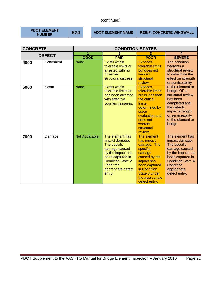**VDOT ELEMENT** 

**824 VDOT ELEMENT NAME REINF. CONCRETE WINGWALL** 

| <b>CONCRETE</b> |               | <b>CONDITION STATES</b> |                                                                                                                                                                                      |                                                                                                                                                                                     |                                                                                                                                                                                      |
|-----------------|---------------|-------------------------|--------------------------------------------------------------------------------------------------------------------------------------------------------------------------------------|-------------------------------------------------------------------------------------------------------------------------------------------------------------------------------------|--------------------------------------------------------------------------------------------------------------------------------------------------------------------------------------|
|                 | <b>DEFECT</b> |                         | 2                                                                                                                                                                                    | 3                                                                                                                                                                                   | 4                                                                                                                                                                                    |
|                 |               | <b>GOOD</b>             | <b>FAIR</b>                                                                                                                                                                          | <b>POOR</b>                                                                                                                                                                         | <b>SEVERE</b>                                                                                                                                                                        |
| 4000            | Settlement    | <b>None</b>             | <b>Exists within</b><br>tolerable limits or<br>arrested with no<br>observed<br>structural distress.                                                                                  | <b>Exceeds</b><br>tolerable limits<br>but does not<br>warrant<br>structural<br>review.                                                                                              | The condition<br>warrants a<br>structural review<br>to determine the<br>effect on strength<br>or serviceability                                                                      |
| 6000            | Scour         | <b>None</b>             | <b>Exists within</b><br>tolerable limits or<br>has been arrested<br>with effective<br>countermeasures.                                                                               | <b>Exceeds</b><br>tolerable limits<br>but is less than<br>the critical<br><b>limits</b><br>determined by<br>scour<br>evaluation and<br>does not<br>warrant<br>structural<br>review. | of the element or<br>bridge; OR a<br>structural review<br>has been<br>completed and<br>the defects<br>impact strength<br>or serviceability<br>of the element or<br>bridge            |
| 7000            | Damage        | Not Applicable          | The element has<br>impact damage.<br>The specific<br>damage caused<br>by the impact has<br>been captured in<br><b>Condition State 2</b><br>under the<br>appropriate defect<br>entry. | The element<br>has impact<br>damage. The<br>specific<br>damage<br>caused by the<br>impact has<br>been captured<br>in Condition<br>State 3 under<br>the appropriate<br>defect entry. | The element has<br>impact damage.<br>The specific<br>damage caused<br>by the impact has<br>been captured in<br><b>Condition State 4</b><br>under the<br>appropriate<br>defect entry. |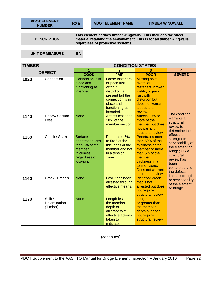**VDOT ELEMENT** 

**NUMBER** | 826 | VDOT ELEMENT NAME | TIMBER WINGWALL

**DESCRIPTION** 

**This element defines timber wingwalls. This includes the sheet material retaining the embankment. This is for all timber wingwalls regardless of protective systems.** 

UNIT OF MEASURE | EA

| <b>TIMBER</b> |                                     | <b>CONDITION STATES</b>                                                                                   |                                                                                                                                                |                                                                                                                                                                                          |                                                                                                                                        |
|---------------|-------------------------------------|-----------------------------------------------------------------------------------------------------------|------------------------------------------------------------------------------------------------------------------------------------------------|------------------------------------------------------------------------------------------------------------------------------------------------------------------------------------------|----------------------------------------------------------------------------------------------------------------------------------------|
| <b>DEFECT</b> |                                     | 1                                                                                                         | 2                                                                                                                                              | 3                                                                                                                                                                                        | $\overline{\mathbf{4}}$                                                                                                                |
|               |                                     | <b>GOOD</b>                                                                                               | <b>FAIR</b>                                                                                                                                    | <b>POOR</b>                                                                                                                                                                              | <b>SEVERE</b>                                                                                                                          |
| 1020          | Connection                          | Connection is in<br>place and<br>functioning as<br>intended.                                              | Loose fasteners<br>or pack rust<br>without<br>distortion is<br>present but the<br>connection is in<br>place and<br>functioning as<br>intended. | Missing bolts,<br>rivets, or<br>fasteners; broken<br>welds; or pack<br>rust with<br>distortion but<br>does not warrant<br>a structural<br>review.                                        |                                                                                                                                        |
| 1140          | Decay/ Section<br>Loss              | <b>None</b>                                                                                               | Affects less than<br>10% of the<br>member section.                                                                                             | Affects 10% or<br>more of the<br>member but does<br>not warrant<br>structural review.                                                                                                    | The condition<br>warrants a<br>structural<br>review to<br>determine the<br>effect on                                                   |
| 1150          | Check / Shake                       | <b>Surface</b><br>penetration less<br>than 5% of the<br>member<br>thickness<br>regardless of<br>location. | Penetrates 5%<br>to 50% of the<br>thickness of the<br>member and not<br>in a tension<br>zone.                                                  | <b>Penetrates more</b><br>than 50% of the<br>thickness of the<br>member or more<br>than 5% of the<br>member<br>thickness in a<br>tension zone.<br>Does not warrant<br>structural review. | strength or<br>serviceability of<br>the element or<br>bridge; OR a<br>structural<br>review has<br>been<br>completed and<br>the defects |
| 1160          | Crack (Timber)                      | <b>None</b>                                                                                               | <b>Crack has been</b><br>arrested through<br>effective means.                                                                                  | <b>Identified crack</b><br>that is not<br>arrested but does<br>not require<br>structural review.                                                                                         | impact strength<br>or serviceability<br>of the element<br>or bridge                                                                    |
| 1170          | Split /<br>Delamination<br>(Timber) | <b>None</b>                                                                                               | Length less than<br>the member<br>depth or<br>arrested with<br>effective actions<br>taken to<br>mitigate.                                      | Length equal to<br>or greater than<br>the member<br>depth but does<br>not require<br>structural review.                                                                                  |                                                                                                                                        |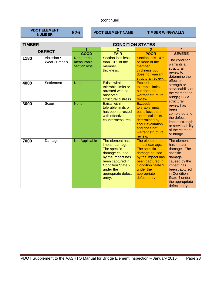| VDOT ELEMENT  |
|---------------|
| <b>NUMBER</b> |

**826 VDOT ELEMENT NAME TIMBER WINGWALLS** 

| <b>TIMBER</b> |                             | <b>CONDITION STATES</b>                   |                                                                                                                                                                                      |                                                                                                                                                                                      |                                                                                                                                                                                     |
|---------------|-----------------------------|-------------------------------------------|--------------------------------------------------------------------------------------------------------------------------------------------------------------------------------------|--------------------------------------------------------------------------------------------------------------------------------------------------------------------------------------|-------------------------------------------------------------------------------------------------------------------------------------------------------------------------------------|
| <b>DEFECT</b> |                             | 1                                         | $\overline{2}$                                                                                                                                                                       | 3                                                                                                                                                                                    | 4                                                                                                                                                                                   |
|               |                             | <b>GOOD</b>                               | <b>FAIR</b>                                                                                                                                                                          | <b>POOR</b>                                                                                                                                                                          | <b>SEVERE</b>                                                                                                                                                                       |
| 1180          | Abrasion /<br>Wear (Timber) | None or no<br>measurable<br>section loss. | <b>Section loss less</b><br>than 10% of the<br>member<br>thickness.                                                                                                                  | Section loss 10%<br>or more of the<br>member<br>thickness but<br>does not warrant<br>structural review.                                                                              | The condition<br>warrants a<br>structural<br>review to<br>determine the                                                                                                             |
| 4000          | Settlement                  | <b>None</b>                               | <b>Exists within</b><br>tolerable limits or<br>arrested with no<br>observed<br>structural distress.                                                                                  | <b>Exceeds</b><br>tolerable limits<br>but does not<br>warrant structural<br>review.                                                                                                  | effect on<br>strength or<br>serviceability of<br>the element or<br>bridge; OR a<br>structural                                                                                       |
| 6000          | Scour                       | <b>None</b>                               | <b>Exists within</b><br>tolerable limits or<br>has been arrested<br>with effective<br>countermeasures.                                                                               | <b>Exceeds</b><br>tolerable limits<br>but is less than<br>the critical limits<br>determined by<br>scour evaluation<br>and does not<br>warrant structural<br>review.                  | review has<br>been<br>completed and<br>the defects<br>impact strength<br>or serviceability<br>of the element<br>or bridge                                                           |
| 7000          | Damage                      | <b>Not Applicable</b>                     | The element has<br>impact damage.<br>The specific<br>damage caused<br>by the impact has<br>been captured in<br><b>Condition State 2</b><br>under the<br>appropriate defect<br>entry. | The element has<br>impact damage.<br>The specific<br>damage caused<br>by the impact has<br>been captured in<br><b>Condition State 3</b><br>under the<br>appropriate<br>defect entry. | The element<br>has impact<br>damage. The<br>specific<br>damage<br>caused by the<br>impact has<br>been captured<br>in Condition<br>State 4 under<br>the appropriate<br>defect entry. |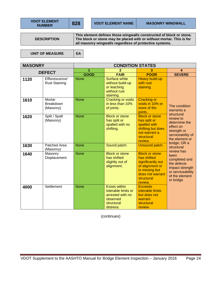| <b>VDOT ELEMEI</b> |  |               |  |
|--------------------|--|---------------|--|
|                    |  | <b>NUMBER</b> |  |

**DESCRIPTION** 

**This element defines those wingwalls constructed of block or stone. The block or stone may be placed with or without mortar. This is for all masonry wingwalls regardless of protective systems.** 

UNIT OF MEASURE | EA

**VD** 

**MASONRY CONDITION STATES DEFECT**  $\begin{array}{|c|c|c|c|c|c|}\n\hline\n & 1 & 2 & 3 & 4 \\
\hline\n\text{GOD} & \text{EAB} & \text{BOOB} & \text{SEVE} \\
\hline\n\end{array}$ **GOOD FAIR POOR SEVERE 1120** Efflorescence/ Rust Staining None Surface white without build-up or leaching without rust staining. Heavy build-up with rust staining. The condition warrants a structural review to determine the effect on strength or serviceability of the element or bridge; OR a structural review has been completed and the defects impact strength or serviceability of the element or bridge **1610** Mortar **Breakdown** (Masonry) None **Cracking or voids** in less than 10% of joints. Cracking or voids in 10% or more of the joints. **1620 Split / Spall** (Masonry) None **Block or stone** has split or spalled with no shifting. Block or stone has split or spalled with shifting but does not warrant a **structural** review. 1630 **Patched Area** (Masonry) None Sound patch. Unsound patch. **1640** Masonry Displacement None **Block or stone** has shifted slightly out of alignment. Block or stone has shifted significantly out of alignment or is missing but does not warrant **structural** review. **4000** Settlement None Exists within tolerable limits or arrested with no observed **Exceeds** tolerable limits but does not warrant

(continues)

structural distress.

structural review.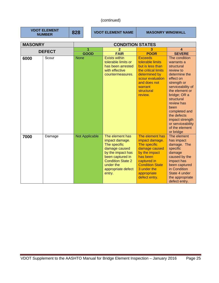**VDOT ELEMENT** 

**828 VDOT ELEMENT NAME MASONRY WINGWALL** 

| <b>MASONRY</b> |        | <b>CONDITION STATES</b> |                                                                                                                                                                                      |                                                                                                                                                                                         |                                                                                                                                                                                                                                                                                                       |  |
|----------------|--------|-------------------------|--------------------------------------------------------------------------------------------------------------------------------------------------------------------------------------|-----------------------------------------------------------------------------------------------------------------------------------------------------------------------------------------|-------------------------------------------------------------------------------------------------------------------------------------------------------------------------------------------------------------------------------------------------------------------------------------------------------|--|
| <b>DEFECT</b>  |        | 1                       | 2                                                                                                                                                                                    | 3                                                                                                                                                                                       | 4                                                                                                                                                                                                                                                                                                     |  |
|                |        | <b>GOOD</b>             | <b>FAIR</b>                                                                                                                                                                          | <b>POOR</b>                                                                                                                                                                             | <b>SEVERE</b>                                                                                                                                                                                                                                                                                         |  |
| 6000           | Scour  | <b>None</b>             | <b>Exists within</b><br>tolerable limits or<br>has been arrested<br>with effective<br>countermeasures.                                                                               | <b>Exceeds</b><br>tolerable limits<br>but is less than<br>the critical limits<br>determined by<br>scour evaluation<br>and does not<br>warrant<br>structural<br>review.                  | The condition<br>warrants a<br>structural<br>review to<br>determine the<br>effect on<br>strength or<br>serviceability of<br>the element or<br>bridge; OR a<br>structural<br>review has<br>been<br>completed and<br>the defects<br>impact strength<br>or serviceability<br>of the element<br>or bridge |  |
| 7000           | Damage | <b>Not Applicable</b>   | The element has<br>impact damage.<br>The specific<br>damage caused<br>by the impact has<br>been captured in<br><b>Condition State 2</b><br>under the<br>appropriate defect<br>entry. | The element has<br>impact damage.<br>The specific<br>damage caused<br>by the impact<br>has been<br>captured in<br><b>Condition State</b><br>3 under the<br>appropriate<br>defect entry. | The element<br>has impact<br>damage. The<br>specific<br>damage<br>caused by the<br>impact has<br>been captured<br>in Condition<br>State 4 under<br>the appropriate<br>defect entry.                                                                                                                   |  |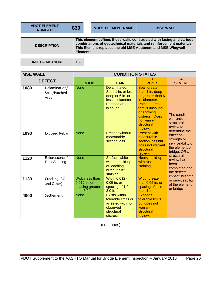|                    | <b>VDOT ELEMENT NAME</b>                                                                                                                                                                                   | <b>MSE WALL</b> |
|--------------------|------------------------------------------------------------------------------------------------------------------------------------------------------------------------------------------------------------|-----------------|
|                    |                                                                                                                                                                                                            |                 |
| <b>DESCRIPTION</b> | This element defines those walls constructed with facing and various<br>combinations of geotechnical materials and reinforcement materials.<br>This Element replaces the old MSE Abutment and MSE Wingwall |                 |

UNIT OF MEASURE | LF

| <b>MSE WALL</b> |                                        | <b>CONDITION STATES</b>                                              |                                                                                                                |                                                                                                                                                                                                 |                                                                                                                                                                                                                                                                                                       |
|-----------------|----------------------------------------|----------------------------------------------------------------------|----------------------------------------------------------------------------------------------------------------|-------------------------------------------------------------------------------------------------------------------------------------------------------------------------------------------------|-------------------------------------------------------------------------------------------------------------------------------------------------------------------------------------------------------------------------------------------------------------------------------------------------------|
| <b>DEFECT</b>   |                                        | 1                                                                    | 2                                                                                                              | з                                                                                                                                                                                               | 4                                                                                                                                                                                                                                                                                                     |
|                 |                                        | <b>GOOD</b>                                                          | <b>FAIR</b>                                                                                                    | <b>POOR</b>                                                                                                                                                                                     | <b>SEVERE</b>                                                                                                                                                                                                                                                                                         |
| 1080            | Delamination/<br>Spall/Patched<br>Area | <b>None</b>                                                          | Delaminated.<br>Spall 1 in. or less<br>deep or 6 in. or<br>less in diameter.<br>Patched area that<br>is sound. | <b>Spall greater</b><br>than 1 in. deep<br>or greater than 6<br>in. diameter.<br><b>Patched area</b><br>that is unsound<br>or showing<br>distress. Does<br>not warrant<br>structural<br>review. | The condition<br>warrants a<br>structural<br>review to<br>determine the<br>effect on<br>strength or<br>serviceability of<br>the element or<br>bridge; OR a<br>structural<br>review has<br>been<br>completed and<br>the defects<br>impact strength<br>or serviceability<br>of the element<br>or bridge |
| 1090            | <b>Exposed Rebar</b>                   | <b>None</b>                                                          | <b>Present without</b><br>measurable<br>section loss.                                                          | <b>Present with</b><br>measurable<br>section loss but<br>does not warrant<br>structural<br>review.                                                                                              |                                                                                                                                                                                                                                                                                                       |
| 1120            | Efflorescence/<br><b>Rust Staining</b> | <b>None</b>                                                          | <b>Surface white</b><br>without build-up<br>or leaching<br>without rust<br>staining.                           | <b>Heavy build-up</b><br>with rust<br>staining.                                                                                                                                                 |                                                                                                                                                                                                                                                                                                       |
| 1130            | Cracking (RC<br>and Other)             | Width less than<br>0.012 in. or<br>spacing greater<br>than $3.0$ ft. | Width 0.012 -<br>$0.05$ in. or<br>spacing of 1.0 -<br>$3.0$ ft.                                                | Width greater<br>than $0.05$ in. or<br>spacing of less<br>than 1 ft.                                                                                                                            |                                                                                                                                                                                                                                                                                                       |
| 4000            | Settlement                             | <b>None</b>                                                          | <b>Exists within</b><br>tolerable limits or<br>arrested with no<br>observed<br>structural<br>distress.         | <b>Exceeds</b><br>tolerable limits<br>but does not<br>warrant<br>structural<br>review.                                                                                                          |                                                                                                                                                                                                                                                                                                       |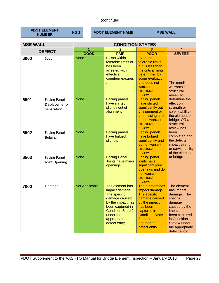**VDOT ELEMENT** 

**830 VDOT ELEMENT NAME MSE WALL** 

| <b>MSE WALL</b> |                                                    | <b>CONDITION STATES</b> |                                                                                                                                                                                      |                                                                                                                                                                                         |                                                                                                                                                                                     |  |
|-----------------|----------------------------------------------------|-------------------------|--------------------------------------------------------------------------------------------------------------------------------------------------------------------------------------|-----------------------------------------------------------------------------------------------------------------------------------------------------------------------------------------|-------------------------------------------------------------------------------------------------------------------------------------------------------------------------------------|--|
| <b>DEFECT</b>   |                                                    | 1                       |                                                                                                                                                                                      |                                                                                                                                                                                         | 4                                                                                                                                                                                   |  |
|                 |                                                    | <b>GOOD</b>             | <b>FAIR</b>                                                                                                                                                                          | <b>POOR</b>                                                                                                                                                                             | <b>SEVERE</b>                                                                                                                                                                       |  |
| 6000            | Scour                                              | <b>None</b>             | <b>Exists within</b><br>tolerable limits or<br>has been<br>arrested with<br>effective<br>countermeasures                                                                             | <b>Exceeds</b><br>tolerable limits<br>but is less than<br>the critical limits<br>determined by<br>scour evaluation<br>and does not<br>warrant<br>structural<br>review.                  | The condition<br>warrants a<br>structural<br>review to                                                                                                                              |  |
| 6501            | <b>Facing Panel</b><br>Displacement/<br>Separation | <b>None</b>             | <b>Facing panels</b><br>have shifted<br>slightly out of<br>alignment                                                                                                                 | <b>Facing panels</b><br>have shifted<br>significantly out<br>of alignment or<br>are missing and<br>do not warrant<br>structural<br>review.                                              | determine the<br>effect on<br>strength or<br>serviceability of<br>the element or<br>bridge; OR a<br>structural<br>review has                                                        |  |
| 6502            | <b>Facing Panel</b><br><b>Bulging</b>              | <b>None</b>             | <b>Facing panels</b><br>have bulged<br>slightly.                                                                                                                                     | <b>Facing panels</b><br>have bulged<br>significantly and<br>do not warrant<br>structural<br>review.                                                                                     | been<br>completed and<br>the defects<br>impact strength<br>or serviceability<br>of the element                                                                                      |  |
| 6503            | <b>Facing Panel</b><br>Joint Opening               | <b>None</b>             | <b>Facing Panel</b><br>Joints have minor<br>openings.                                                                                                                                | <b>Facing panel</b><br>joints have<br>significant joint<br>openings and do<br>not warrant<br>structural<br>review.                                                                      | or bridge                                                                                                                                                                           |  |
| 7000            | Damage                                             | <b>Not Applicable</b>   | The element has<br>impact damage.<br>The specific<br>damage caused<br>by the impact has<br>been captured in<br><b>Condition State 2</b><br>under the<br>appropriate<br>defect entry. | The element has<br>impact damage.<br>The specific<br>damage caused<br>by the impact<br>has been<br>captured in<br><b>Condition State</b><br>3 under the<br>appropriate<br>defect entry. | The element<br>has impact<br>damage. The<br>specific<br>damage<br>caused by the<br>impact has<br>been captured<br>in Condition<br>State 4 under<br>the appropriate<br>defect entry. |  |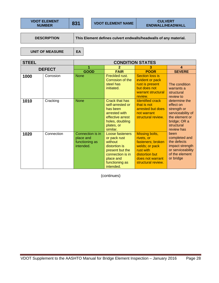**DESCRIPTION** This Element defines culvert endwalls/headwalls of any material.

UNIT OF MEASURE | EA

**STEEL CONDITION STATES DEFECT**  $\begin{array}{|c|c|c|c|c|c|}\n\hline\n & 1 & 2 & 3 & 4 \\
\hline\n\text{GQOD} & \text{EAB} & \text{BOOB} & \text{SEVE} \\
\hline\n\end{array}$ **GOOD FAIR POOR SEVERE**  1000 | Corrosion | None | Freckled rust. Corrosion of the steel has initiated. Section loss is evident or pack rust is present but does not warrant structural review. The condition warrants a structural review to determine the effect on strength or serviceability of the element or bridge; OR a structural review has been completed and the defects impact strength or serviceability of the element or bridge **1010** Cracking None Crack that has self-arrested or has been arrested with effective arrest holes, doubling plates, or similar. Identified crack that is not arrested but does not warrant structural review. **1020** Connection Connection is in place and functioning as intended. Loose fasteners or pack rust without distortion is present but the connection is in place and functioning as intended. Missing bolts, rivets, or fasteners; broken welds; or pack rust with distortion but does not warrant structural review.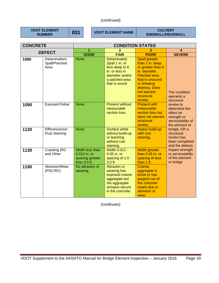**VDOT ELEMENT** 

**NUMBER 831** VDOT ELEMENT NAME **DESCRIPTION** CULVERT **ENDWALL/HEADWALL** 

| <b>CONCRETE</b> |                                        | <b>CONDITION STATES</b>                                              |                                                                                                                          |                                                                                                                                                                                                 |                                                                                               |
|-----------------|----------------------------------------|----------------------------------------------------------------------|--------------------------------------------------------------------------------------------------------------------------|-------------------------------------------------------------------------------------------------------------------------------------------------------------------------------------------------|-----------------------------------------------------------------------------------------------|
| <b>DEFECT</b>   |                                        | 1                                                                    | 2                                                                                                                        | 3                                                                                                                                                                                               | $\boldsymbol{4}$                                                                              |
|                 |                                        | <b>GOOD</b>                                                          | <b>FAIR</b>                                                                                                              | <b>POOR</b>                                                                                                                                                                                     | <b>SEVERE</b>                                                                                 |
| 1080            | Delamination/<br>Spall/Patched<br>Area | <b>None</b>                                                          | Delaminated.<br>Spall 1 in. or<br>less deep or 6<br>in, or less in<br>diameter and/or<br>a patched area<br>that is sound | <b>Spall greater</b><br>than 1 in. deep<br>or greater than 6<br>in. diameter.<br><b>Patched area</b><br>that is unsound<br>or showing<br>distress. Does<br>not warrant<br>structural<br>review. | The condition<br>warrants a<br>structural                                                     |
| 1090            | <b>Exposed Rebar</b>                   | <b>None</b>                                                          | <b>Present without</b><br>measurable<br>section loss.                                                                    | <b>Present with</b><br>measurable<br>section loss but<br>does not warrant<br>structural<br>review.                                                                                              | review to<br>determine the<br>effect on<br>strength or<br>serviceability of<br>the element or |
| 1120            | Efflorescence/<br><b>Rust Staining</b> | <b>None</b>                                                          | Surface white<br>without build-up<br>or leaching<br>without rust<br>staining.                                            | <b>Heavy build-up</b><br>with rust<br>staining.                                                                                                                                                 | bridge; OR a<br>structural<br>review has<br>been completed<br>and the defects                 |
| 1130            | Cracking (RC<br>and Other              | Width less than<br>0.012 in. or<br>spacing greater<br>than $3.0$ ft. | <b>Width 0.012 -</b><br>0.05 in. or<br>spacing of 1.0 -<br>$3.0$ ft.                                                     | <b>Width greater</b><br>than $0.05$ in. or<br>spacing of less<br>than 1 ft.                                                                                                                     | impact strength<br>or serviceability<br>of the element<br>or bridge                           |
| 1190            | Abrasion/Wear<br>(PSC/RC)              | No abrasion or<br>wearing.                                           | Abrasion or<br>wearing has<br>exposed coarse<br>aggregate but<br>the aggregate<br>remains secure<br>in the concrete.     | Coarse<br>aggregate is<br>loose or has<br>popped out of<br>the concrete<br>matrix due to<br>abrasion or<br>wear.                                                                                |                                                                                               |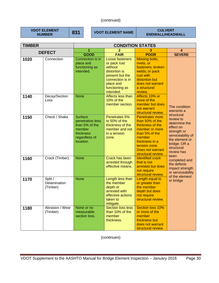**VDOT ELEMENT** 

**NUMBER AND STATE OF STATE OF STATE OF STATE AND READ THE STATE OF STATE AND READ THE STATE OF STATE STATE STATE STATE STATE STATE STATE STATE STATE STATE STATE STATE STATE STATE STATE STATE STATE STATE STATE STATE STATE S ENDWALL/HEADWALL** 

| <b>TIMBER</b> |                                     | <b>CONDITION STATES</b>                                                                                   |                                                                                                                                                |                                                                                                                                                                                          |                                                                                                                                           |
|---------------|-------------------------------------|-----------------------------------------------------------------------------------------------------------|------------------------------------------------------------------------------------------------------------------------------------------------|------------------------------------------------------------------------------------------------------------------------------------------------------------------------------------------|-------------------------------------------------------------------------------------------------------------------------------------------|
| <b>DEFECT</b> |                                     | 1                                                                                                         |                                                                                                                                                | 3                                                                                                                                                                                        | 4                                                                                                                                         |
|               |                                     | <b>GOOD</b>                                                                                               | <b>FAIR</b>                                                                                                                                    | <b>POOR</b>                                                                                                                                                                              | <b>SEVERE</b>                                                                                                                             |
| 1020          | Connection                          | Connection is in<br>place and<br>functioning as<br>intended.                                              | Loose fasteners<br>or pack rust<br>without<br>distortion is<br>present but the<br>connection is in<br>place and<br>functioning as<br>intended. | Missing bolts,<br>rivets, or<br>fasteners; broken<br>welds; or pack<br>rust with<br>distortion but<br>does not warrant<br>a structural<br>review.                                        |                                                                                                                                           |
| 1140          | Decay/Section<br>Loss               | <b>None</b>                                                                                               | Affects less than<br>10% of the<br>member section.                                                                                             | Affects 10% or<br>more of the<br>member but does<br>not warrant<br>structural review.                                                                                                    | The condition<br>warrants a<br>structural                                                                                                 |
| 1150          | Check / Shake                       | <b>Surface</b><br>penetration less<br>than 5% of the<br>member<br>thickness<br>regardless of<br>location. | Penetrates 5%<br>to 50% of the<br>thickness of the<br>member and not<br>in a tension<br>zone.                                                  | <b>Penetrates more</b><br>than 50% of the<br>thickness of the<br>member or more<br>than 5% of the<br>member<br>thickness in a<br>tension zone.<br>Does not warrant<br>structural review. | review to<br>determine the<br>effect on<br>strength or<br>serviceability of<br>the element or<br>bridge; OR a<br>structural<br>review has |
| 1160          | Crack (Timber)                      | <b>None</b>                                                                                               | Crack has been<br>arrested through<br>effective means.                                                                                         | <b>Identified crack</b><br>that is not<br>arrested but does<br>not require<br>structural review.                                                                                         | been<br>completed and<br>the defects<br>impact strength<br>or serviceability<br>of the element                                            |
| 1170          | Split /<br>Delamination<br>(Timber) | <b>None</b>                                                                                               | Length less than<br>the member<br>depth or<br>arrested with<br>effective actions<br>taken to<br>mitigate.                                      | Length equal to<br>or greater than<br>the member<br>depth but does<br>not require<br>structural review.                                                                                  | or bridge                                                                                                                                 |
| 1180          | Abrasion / Wear<br>(Timber)         | None or no<br>measurable<br>section loss.                                                                 | <b>Section loss less</b><br>than 10% of the<br>member<br>thickness.                                                                            | Section loss 10%<br>or more of the<br>member<br>thickness but<br>does not warrant<br>structural review.                                                                                  |                                                                                                                                           |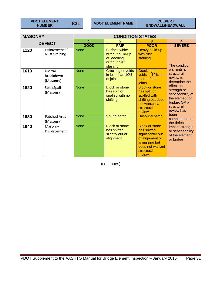**VDOT ELEMENT** 

**NUMBER 831** VDOT ELEMENT NAME **DESCRIPTION ENDWALL/HEADWALL** 

| <b>MASONRY</b> |                                        | <b>CONDITION STATES</b> |                                                                                      |                                                                                                                                             |                                                                                                             |
|----------------|----------------------------------------|-------------------------|--------------------------------------------------------------------------------------|---------------------------------------------------------------------------------------------------------------------------------------------|-------------------------------------------------------------------------------------------------------------|
| <b>DEFECT</b>  |                                        | 1                       |                                                                                      | з                                                                                                                                           | $\boldsymbol{\Lambda}$                                                                                      |
|                |                                        | <b>GOOD</b>             | <b>FAIR</b>                                                                          | <b>POOR</b>                                                                                                                                 | <b>SEVERE</b>                                                                                               |
| 1120           | Efflorescence/<br><b>Rust Staining</b> | <b>None</b>             | <b>Surface white</b><br>without build-up<br>or leaching<br>without rust<br>staining. | <b>Heavy build-up</b><br>with rust<br>staining.                                                                                             | The condition                                                                                               |
| 1610           | Mortar<br>Breakdown<br>(Masonry)       | <b>None</b>             | Cracking or voids<br>in less than 10%<br>of joints.                                  | <b>Cracking or</b><br>voids in 10% or<br>more of the<br>ioints.                                                                             | warrants a<br>structural<br>review to<br>determine the                                                      |
| 1620           | Split/Spall<br>(Masonry)               | <b>None</b>             | <b>Block or stone</b><br>has split or<br>spalled with no<br>shifting.                | <b>Block or stone</b><br>has split or<br>spalled with<br>shifting but does<br>not warrant a<br>structural<br>review.                        | effect on<br>strength or<br>serviceability of<br>the element or<br>bridge; OR a<br>structural<br>review has |
| 1630           | Patched Area<br>(Masonry)              | <b>None</b>             | Sound patch.                                                                         | Unsound patch.                                                                                                                              | been<br>completed and<br>the defects<br>impact strength<br>or serviceability<br>of the element<br>or bridge |
| 1640           | Masonry<br>Displacement                | None.                   | <b>Block or stone</b><br>has shifted<br>slightly out of<br>alignment.                | <b>Block or stone</b><br>has shifted<br>significantly out<br>of alignment or<br>is missing but<br>does not warrant<br>structural<br>review. |                                                                                                             |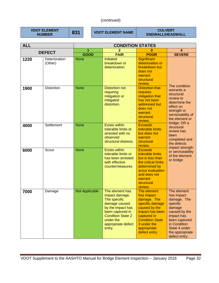## (continued)

**VDOT ELEMENT** 

**831** VDOT ELEMENT NAME **DESCRIPTION CULVERT ENDWALL/HEADWALL** 

| <b>ALL</b> |                          | <b>CONDITION STATES</b> |                                                                                                                                                                                      |                                                                                                                                                                                         |                                                                                                                                                                                     |  |
|------------|--------------------------|-------------------------|--------------------------------------------------------------------------------------------------------------------------------------------------------------------------------------|-----------------------------------------------------------------------------------------------------------------------------------------------------------------------------------------|-------------------------------------------------------------------------------------------------------------------------------------------------------------------------------------|--|
|            | <b>DEFECT</b>            | 1                       |                                                                                                                                                                                      |                                                                                                                                                                                         | 4                                                                                                                                                                                   |  |
|            |                          | <b>GOOD</b>             | <b>FAIR</b>                                                                                                                                                                          | <b>POOR</b>                                                                                                                                                                             | <b>SEVERE</b>                                                                                                                                                                       |  |
| 1220       | Deterioration<br>(Other) | <b>None</b>             | <b>Initiated</b><br>breakdown or<br>deterioration.                                                                                                                                   | <b>Significant</b><br>deterioration or<br>breakdown but<br>does not<br>warrant<br>structural<br>review.                                                                                 |                                                                                                                                                                                     |  |
| 1900       | <b>Distortion</b>        | <b>None</b>             | <b>Distortion not</b><br>requiring<br>mitigation or<br>mitigated<br>distortion.                                                                                                      | <b>Distortion that</b><br>requires<br>mitigation that<br>has not been<br>addressed but<br>does not<br>warrant<br>structural<br>review.                                                  | The condition<br>warrants a<br>structural<br>review to<br>determine the<br>effect on<br>strength or<br>serviceability of<br>the element or<br>bridge; OR a                          |  |
| 4000       | Settlement               | <b>None</b>             | <b>Exists within</b><br>tolerable limits or<br>arrested with no<br>observed<br>structural distress.                                                                                  | <b>Exceeds</b><br>tolerable limits<br>but does not<br>warrant<br>structural<br>review.                                                                                                  | structural<br>review has<br>been<br>completed and<br>the defects                                                                                                                    |  |
| 6000       | Scour                    | <b>None</b>             | <b>Exists within</b><br>tolerable limits or<br>has been arrested<br>with effective<br>countermeasures.                                                                               | <b>Exceeds</b><br>tolerable limits<br>but is less than<br>the critical limits<br>determined by<br>scour evaluation<br>and does not<br>warrant<br>structural<br>review.                  | impact strength<br>or serviceability<br>of the element<br>or bridge                                                                                                                 |  |
| 7000       | Damage                   | <b>Not Applicable</b>   | The element has<br>impact damage.<br>The specific<br>damage caused<br>by the impact has<br>been captured in<br><b>Condition State 2</b><br>under the<br>appropriate defect<br>entry. | The element<br>has impact<br>damage. The<br>specific damage<br>caused by the<br>impact has been<br>captured in<br><b>Condition State</b><br>3 under the<br>appropriate<br>defect entry. | The element<br>has impact<br>damage. The<br>specific<br>damage<br>caused by the<br>impact has<br>been captured<br>in Condition<br>State 4 under<br>the appropriate<br>defect entry. |  |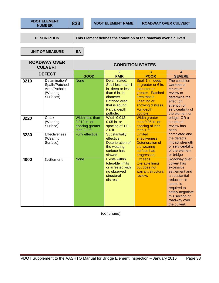**DESCRIPTION** This Element defines the condition of the roadway over a culvert.

UNIT OF MEASURE | EA

| <b>ROADWAY OVER</b><br><b>CULVERT</b> |                                                                          | <b>CONDITION STATES</b>                                            |                                                                                                                                                             |                                                                                                                                                                |                                                                                                                                                                                               |  |
|---------------------------------------|--------------------------------------------------------------------------|--------------------------------------------------------------------|-------------------------------------------------------------------------------------------------------------------------------------------------------------|----------------------------------------------------------------------------------------------------------------------------------------------------------------|-----------------------------------------------------------------------------------------------------------------------------------------------------------------------------------------------|--|
|                                       | <b>DEFECT</b>                                                            | 1                                                                  | $\overline{2}$                                                                                                                                              | 3                                                                                                                                                              | $\boldsymbol{A}$                                                                                                                                                                              |  |
|                                       |                                                                          | <b>GOOD</b>                                                        | <b>FAIR</b>                                                                                                                                                 | <b>POOR</b>                                                                                                                                                    | <b>SEVERE</b>                                                                                                                                                                                 |  |
| 3210                                  | Delamination/<br>Spalls/Patched<br>Area/Pothole<br>(Wearing<br>Surfaces) | <b>None</b>                                                        | Delaminated.<br>Spall less than 1<br>in. deep or less<br>than $6$ in. in<br>diameter.<br>Patched area<br>that is sound.<br><b>Partial depth</b><br>pothole. | Spall 1 in. deep<br>or greater or 6 in.<br>diameter or<br>greater. Patched<br>area that is<br>unsound or<br>showing distress.<br><b>Full depth</b><br>pothole. | The condition<br>warrants a<br>structural<br>review to<br>determine the<br>effect on<br>strength or<br>serviceability of<br>the element or                                                    |  |
| 3220                                  | Crack<br>(Wearing<br>Surface)                                            | Width less than<br>0.012 in. or<br>spacing greater<br>than 3.0 ft. | <b>Width 0.012 -</b><br>$0.05$ in. or<br>spacing of 1.0 -<br>3.0 ft.                                                                                        | <b>Width greater</b><br>than $0.05$ in, or<br>spacing of less<br>than 1 ft.                                                                                    | bridge; OR a<br>structural<br>review has<br>been                                                                                                                                              |  |
| 3230                                  | <b>Effectiveness</b><br>(Wearing<br>Surface)                             | Fully effective.                                                   | <b>Substantially</b><br>effective.<br>Deterioration of<br>the wearing<br>surface has<br>slowed.                                                             | Limited<br>effectiveness.<br>Deterioration of<br>the wearing<br>surface has<br>progressed.                                                                     | completed and<br>the defects<br>impact strength<br>or serviceability<br>of the element<br>or bridge                                                                                           |  |
| 4000                                  | Settlement                                                               | <b>None</b>                                                        | <b>Exists within</b><br>tolerable limits<br>or arrested with<br>no observed<br>structural<br>distress.                                                      | <b>Exceeds</b><br>tolerable limits<br>but does not<br>warrant structural<br>review.                                                                            | Roadway over<br>culvert has<br>excessive<br>settlement and<br>a substantial<br>reduction in<br>speed is<br>required to<br>safely negotiate<br>this section of<br>roadway over<br>the culvert. |  |

(continues)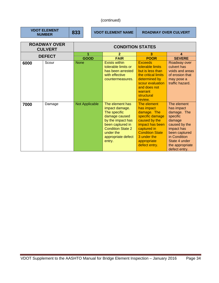## (continued)

| <b>VDOT ELEMENT</b> |
|---------------------|
| <b>NUMBER</b>       |

**833 VDOT ELEMENT NAME ROADWAY OVER CULVERT** 

| <b>ROADWAY OVER</b><br><b>CULVERT</b> |               | <b>CONDITION STATES</b> |                                                                                                                                                                                      |                                                                                                                                                                                         |                                                                                                                                                                                     |  |
|---------------------------------------|---------------|-------------------------|--------------------------------------------------------------------------------------------------------------------------------------------------------------------------------------|-----------------------------------------------------------------------------------------------------------------------------------------------------------------------------------------|-------------------------------------------------------------------------------------------------------------------------------------------------------------------------------------|--|
|                                       | <b>DEFECT</b> |                         | $\overline{2}$                                                                                                                                                                       | 3                                                                                                                                                                                       | 4                                                                                                                                                                                   |  |
|                                       |               | <b>GOOD</b>             | <b>FAIR</b>                                                                                                                                                                          | <b>POOR</b>                                                                                                                                                                             | <b>SEVERE</b>                                                                                                                                                                       |  |
| 6000                                  | Scour         | <b>None</b>             | <b>Exists within</b><br>tolerable limits or<br>has been arrested<br>with effective<br>countermeasures.                                                                               | <b>Exceeds</b><br>tolerable limits<br>but is less than<br>the critical limits<br>determined by<br>scour evaluation<br>and does not<br>warrant<br>structural<br>review.                  | Roadway over<br>culvert has<br>voids and areas<br>of erosion that<br>may pose a<br>traffic hazard.                                                                                  |  |
| 7000                                  | Damage        | Not Applicable          | The element has<br>impact damage.<br>The specific<br>damage caused<br>by the impact has<br>been captured in<br><b>Condition State 2</b><br>under the<br>appropriate defect<br>entry. | The element<br>has impact<br>damage. The<br>specific damage<br>caused by the<br>impact has been<br>captured in<br><b>Condition State</b><br>3 under the<br>appropriate<br>defect entry. | The element<br>has impact<br>damage. The<br>specific<br>damage<br>caused by the<br>impact has<br>been captured<br>in Condition<br>State 4 under<br>the appropriate<br>defect entry. |  |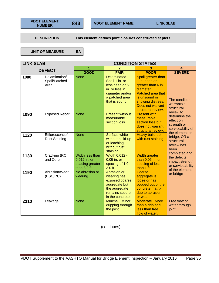**DESCRIPTION** This element defines joint closures constructed at piers,

UNIT OF MEASURE | EA

| <b>LINK SLAB</b> |                                        | <b>CONDITION STATES</b>                                            |                                                                                                                          |                                                                                                                                                                             |                                                                                               |
|------------------|----------------------------------------|--------------------------------------------------------------------|--------------------------------------------------------------------------------------------------------------------------|-----------------------------------------------------------------------------------------------------------------------------------------------------------------------------|-----------------------------------------------------------------------------------------------|
|                  | <b>DEFECT</b>                          | 1                                                                  | $\mathbf{2}$                                                                                                             | 3                                                                                                                                                                           | 4                                                                                             |
|                  |                                        | <b>GOOD</b>                                                        | <b>FAIR</b>                                                                                                              | <b>POOR</b>                                                                                                                                                                 | <b>SEVERE</b>                                                                                 |
| 1080             | Delamination/<br>Spall/Patched<br>Area | <b>None</b>                                                        | Delaminated.<br>Spall 1 in. or<br>less deep or 6<br>in. or less in<br>diameter and/or<br>a patched area<br>that is sound | Spall greater than<br>1 in. deep or<br>greater than 6 in.<br>diameter.<br>Patched area that<br>is unsound or<br>showing distress.<br>Does not warrant<br>structural review. | The condition<br>warrants a<br>structural                                                     |
| 1090             | <b>Exposed Rebar</b>                   | <b>None</b>                                                        | <b>Present without</b><br>measurable<br>section loss.                                                                    | <b>Present with</b><br>measurable<br>section loss but<br>does not warrant<br>structural review.                                                                             | review to<br>determine the<br>effect on<br>strength or<br>serviceability of<br>the element or |
| 1120             | Efflorescence/<br><b>Rust Staining</b> | <b>None</b>                                                        | <b>Surface white</b><br>without build-up<br>or leaching<br>without rust<br>staining.                                     | Heavy build-up<br>with rust staining.                                                                                                                                       | bridge; OR a<br>structural<br>review has<br>been                                              |
| 1130             | Cracking (RC<br>and Other              | Width less than<br>0.012 in. or<br>spacing greater<br>than 3.0 ft. | <b>Width 0.012 -</b><br>0.05 in. or<br>spacing of 1.0 -<br>$3.0$ ft.                                                     | <b>Width greater</b><br>than 0.05 in. or<br>spacing of less<br>than 1 ft.                                                                                                   | completed and<br>the defects<br>impact strength<br>or serviceability<br>of the element        |
| 1190             | Abrasion/Wear<br>(PSC/RC)              | No abrasion or<br>wearing.                                         | Abrasion or<br>wearing has<br>exposed coarse<br>aggregate but<br>the aggregate<br>remains secure<br>in the concrete.     | Coarse<br>aggregate is<br>loose or has<br>popped out of the<br>concrete matrix<br>due to abrasion<br>or wear.                                                               | or bridge                                                                                     |
| 2310             | Leakage                                | <b>None</b>                                                        | Minimal. Minor<br>dripping through<br>the joint.                                                                         | Moderate. More<br>than a drip and<br>less than free<br>flow of water.                                                                                                       | Free flow of<br>water through<br>joint.                                                       |

(continues)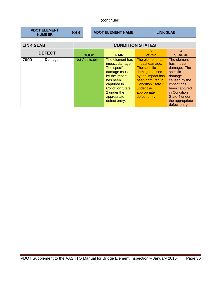# (continued)

|                  | <b>VDOT ELEMENT</b><br><b>NUMBER</b> | 843                   | <b>VDOT ELEMENT NAME</b> |                                                                                                                                                                                         | <b>LINK SLAB</b>                                                                                                                                                                     |                                                                                                                                                                                     |  |
|------------------|--------------------------------------|-----------------------|--------------------------|-----------------------------------------------------------------------------------------------------------------------------------------------------------------------------------------|--------------------------------------------------------------------------------------------------------------------------------------------------------------------------------------|-------------------------------------------------------------------------------------------------------------------------------------------------------------------------------------|--|
| <b>LINK SLAB</b> |                                      |                       | <b>CONDITION STATES</b>  |                                                                                                                                                                                         |                                                                                                                                                                                      |                                                                                                                                                                                     |  |
|                  | <b>DEFECT</b>                        |                       |                          | $\mathbf{2}$                                                                                                                                                                            | 3                                                                                                                                                                                    | 4                                                                                                                                                                                   |  |
|                  |                                      | <b>GOOD</b>           |                          | <b>FAIR</b>                                                                                                                                                                             | <b>POOR</b>                                                                                                                                                                          | <b>SEVERE</b>                                                                                                                                                                       |  |
| 7000             | Damage                               | <b>Not Applicable</b> |                          | The element has<br>impact damage.<br>The specific<br>damage caused<br>by the impact<br>has been<br>captured in<br><b>Condition State</b><br>2 under the<br>appropriate<br>defect entry. | The element has<br>impact damage.<br>The specific<br>damage caused<br>by the impact has<br>been captured in<br><b>Condition State 3</b><br>under the<br>appropriate<br>defect entry. | The element<br>has impact<br>damage. The<br>specific<br>damage<br>caused by the<br>impact has<br>been captured<br>in Condition<br>State 4 under<br>the appropriate<br>defect entry. |  |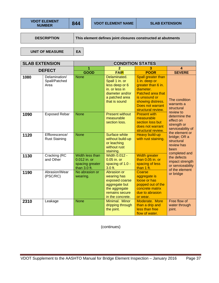**DESCRIPTION** This element defines joint closures constructed at abutments

UNIT OF MEASURE | EA

| <b>SLAB EXTENSION</b> |                                        | <b>CONDITION STATES</b>                                            |                                                                                                                          |                                                                                                                                                                             |                                                                                               |
|-----------------------|----------------------------------------|--------------------------------------------------------------------|--------------------------------------------------------------------------------------------------------------------------|-----------------------------------------------------------------------------------------------------------------------------------------------------------------------------|-----------------------------------------------------------------------------------------------|
|                       | <b>DEFECT</b>                          | 1                                                                  | 2                                                                                                                        | 3                                                                                                                                                                           | 4                                                                                             |
|                       |                                        | <b>GOOD</b>                                                        | <b>FAIR</b>                                                                                                              | <b>POOR</b>                                                                                                                                                                 | <b>SEVERE</b>                                                                                 |
| 1080                  | Delamination/<br>Spall/Patched<br>Area | <b>None</b>                                                        | Delaminated.<br>Spall 1 in. or<br>less deep or 6<br>in. or less in<br>diameter and/or<br>a patched area<br>that is sound | Spall greater than<br>1 in. deep or<br>greater than 6 in.<br>diameter.<br>Patched area that<br>is unsound or<br>showing distress.<br>Does not warrant<br>structural review. | The condition<br>warrants a<br>structural                                                     |
| 1090                  | <b>Exposed Rebar</b>                   | <b>None</b>                                                        | <b>Present without</b><br>measurable<br>section loss.                                                                    | <b>Present with</b><br>measurable<br>section loss but<br>does not warrant<br>structural review.                                                                             | review to<br>determine the<br>effect on<br>strength or<br>serviceability of<br>the element or |
| 1120                  | Efflorescence/<br><b>Rust Staining</b> | <b>None</b>                                                        | <b>Surface white</b><br>without build-up<br>or leaching<br>without rust<br>staining.                                     | Heavy build-up<br>with rust staining.                                                                                                                                       | bridge; OR a<br>structural<br>review has<br>been<br>completed and                             |
| 1130                  | Cracking (RC<br>and Other              | Width less than<br>0.012 in. or<br>spacing greater<br>than 3.0 ft. | <b>Width 0.012 -</b><br>0.05 in. or<br>spacing of 1.0 -<br>3.0 ft.                                                       | <b>Width greater</b><br>than 0.05 in. or<br>spacing of less<br>than 1 ft.                                                                                                   | the defects<br>impact strength<br>or serviceability<br>of the element                         |
| 1190                  | Abrasion/Wear<br>(PSC/RC)              | No abrasion or<br>wearing.                                         | Abrasion or<br>wearing has<br>exposed coarse<br>aggregate but<br>the aggregate<br>remains secure<br>in the concrete.     | Coarse<br>aggregate is<br>loose or has<br>popped out of the<br>concrete matrix<br>due to abrasion<br>or wear.                                                               | or bridge                                                                                     |
| 2310                  | Leakage                                | <b>None</b>                                                        | Minimal. Minor<br>dripping through<br>the joint.                                                                         | Moderate. More<br>than a drip and<br>less than free<br>flow of water.                                                                                                       | Free flow of<br>water through<br>joint.                                                       |

(continues)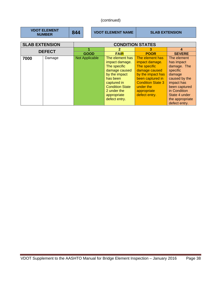# (continued)

|                       | <b>VDOT ELEMENT</b><br><b>NUMBER</b> | 844 | <b>VDOT ELEMENT NAME</b> |                                                                                                                                                                                         | <b>SLAB EXTENSION</b>                                                                                                                                                                |                                                                                                                                                                                     |
|-----------------------|--------------------------------------|-----|--------------------------|-----------------------------------------------------------------------------------------------------------------------------------------------------------------------------------------|--------------------------------------------------------------------------------------------------------------------------------------------------------------------------------------|-------------------------------------------------------------------------------------------------------------------------------------------------------------------------------------|
| <b>SLAB EXTENSION</b> |                                      |     |                          |                                                                                                                                                                                         | <b>CONDITION STATES</b>                                                                                                                                                              |                                                                                                                                                                                     |
|                       |                                      |     |                          | 2                                                                                                                                                                                       | 3                                                                                                                                                                                    | 4                                                                                                                                                                                   |
|                       | <b>DEFECT</b>                        |     | <b>GOOD</b>              | <b>FAIR</b>                                                                                                                                                                             | <b>POOR</b>                                                                                                                                                                          | <b>SEVERE</b>                                                                                                                                                                       |
| 7000                  | Damage                               |     | Not Applicable           | The element has<br>impact damage.<br>The specific<br>damage caused<br>by the impact<br>has been<br>captured in<br><b>Condition State</b><br>2 under the<br>appropriate<br>defect entry. | The element has<br>impact damage.<br>The specific<br>damage caused<br>by the impact has<br>been captured in<br><b>Condition State 3</b><br>under the<br>appropriate<br>defect entry. | The element<br>has impact<br>damage. The<br>specific<br>damage<br>caused by the<br>impact has<br>been captured<br>in Condition<br>State 4 under<br>the appropriate<br>defect entry. |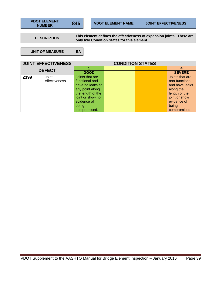| <b>VDOT ELEMENT</b> | 84 |
|---------------------|----|
| <b>NUMBER</b>       |    |

**DESCRIPTION** This element defines the effectiveness of expansion joints. There are **only two Condition States for this element.** 

UNIT OF MEASURE EA

| <b>JOINT EFFECTIVENESS</b> |               | <b>CONDITION STATES</b> |  |  |                 |  |
|----------------------------|---------------|-------------------------|--|--|-----------------|--|
| <b>DEFECT</b>              |               |                         |  |  |                 |  |
|                            |               | <b>GOOD</b>             |  |  | <b>SEVERE</b>   |  |
| 2399                       | Joint         | Joints that are         |  |  | Joints that are |  |
|                            | effectiveness | functional and          |  |  | non-functional  |  |
|                            |               | have no leaks at        |  |  | and have leaks  |  |
|                            |               | any point along         |  |  | along the       |  |
|                            |               | the length of the       |  |  | length of the   |  |
|                            |               | joint or show no        |  |  | joint or show   |  |
|                            |               | evidence of             |  |  | evidence of     |  |
|                            |               | being                   |  |  | being           |  |
|                            |               | compromised.            |  |  | compromised.    |  |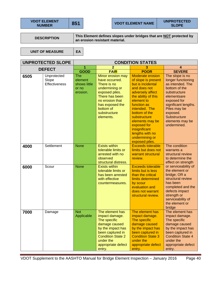| <b>VDOT ELEMENT</b> | 85 |
|---------------------|----|
| <b>NUMBER</b>       |    |

**NUMBER 81 ONEX TO BE SERVE WAS SERVED** 

**DESCRIPTION This Element defines slopes under bridges that are <u>NOT</u> protected by an erosion resistant material.** 

**UNIT OF MEASURE EA** 

|      | <b>UNPROTECTED SLOPE</b>              | <b>CONDITION STATES</b>                                    |                                                                                                                                                                                          |                                                                                                                                                                                                                                                                                                                         |                                                                                                                                                                                                                                |  |
|------|---------------------------------------|------------------------------------------------------------|------------------------------------------------------------------------------------------------------------------------------------------------------------------------------------------|-------------------------------------------------------------------------------------------------------------------------------------------------------------------------------------------------------------------------------------------------------------------------------------------------------------------------|--------------------------------------------------------------------------------------------------------------------------------------------------------------------------------------------------------------------------------|--|
|      | <b>DEFECT</b>                         |                                                            | $\overline{2}$                                                                                                                                                                           | 3                                                                                                                                                                                                                                                                                                                       | 4                                                                                                                                                                                                                              |  |
|      |                                       | <b>GOOD</b>                                                | <b>FAIR</b>                                                                                                                                                                              | <b>POOR</b>                                                                                                                                                                                                                                                                                                             | <b>SEVERE</b>                                                                                                                                                                                                                  |  |
| 6505 | Unprotected<br>Slope<br>Effectiveness | <b>The</b><br>element<br>shows little<br>or no<br>erosion. | Minor erosion may<br>have occurred.<br>There is no<br>undermining or<br>exposed piles.<br>There has been<br>no erosion that<br>has exposed the<br>bottom of<br>substructure<br>elements. | <b>Moderate erosion</b><br>of slope is present<br>but is incidental<br>and does not<br>adversely affect<br>the ability of this<br>element to<br>function as<br>intended. The<br>bottom of the<br>substructure<br>elements may be<br>exposed for<br>insignificant<br>lengths with no<br>undermining or<br>exposed piles. | The slope is no<br>longer functioning<br>as intended. The<br>bottom of the<br>substructure<br>elementsare<br>exposed for<br>significant lengths.<br>Piles may be<br>exposed.<br>Substructure<br>elements may be<br>undermined. |  |
| 4000 | Settlement                            | <b>None</b>                                                | <b>Exists within</b><br>tolerable limits or<br>arrested with no<br>observed<br>structural distress.                                                                                      | <b>Exceeds tolerable</b><br>limits but does not<br>warrant structural<br>review.                                                                                                                                                                                                                                        | The condition<br>warrants a<br>structural review<br>to determine the<br>effect on strength                                                                                                                                     |  |
| 6000 | Scour                                 | <b>None</b>                                                | <b>Exists within</b><br>tolerable limits or<br>has been arrested<br>with effective<br>countermeasures.                                                                                   | <b>Exceeds tolerable</b><br>limits but is less<br>than the critical<br>limits determined<br>by scour<br>evaluation and<br>does not warrant<br>structural review.                                                                                                                                                        | or serviceability of<br>the element or<br>bridge; OR a<br>structural review<br>has been<br>completed and the<br>defects impact<br>strength or<br>serviceability of<br>the element or<br>bridge                                 |  |
| 7000 | Damage                                | <b>Not</b><br>Applicable                                   | The element has<br>impact damage.<br>The specific<br>damage caused<br>by the impact has<br>been captured in<br><b>Condition State 2</b><br>under the<br>appropriate defect<br>entry.     | The element has<br>impact damage.<br>The specific<br>damage caused<br>by the impact has<br>been captured in<br><b>Condition State 3</b><br>under the<br>appropriate defect<br>entry.                                                                                                                                    | The element has<br>impact damage.<br>The specific<br>damage caused<br>by the impact has<br>been captured in<br><b>Condition State 4</b><br>under the<br>appropriate defect<br>entry.                                           |  |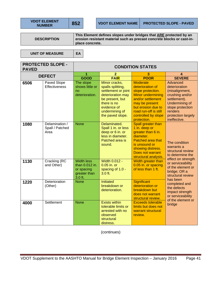| <b>VDOT ELEMENT</b> |
|---------------------|
| <b>NUMBER</b>       |

**852 VDOT ELEMENT NAME** PROTECTED SLOPE - PAVED

**DESCRIPTION** 

**This Element defines slopes under bridges that ARE protected by an erosion resistant material such as precast concrete blocks or cast-inplace concrete.** 

UNIT OF MEASURE | EA

**PROTECTED SLOPE - PAVED CONDITION STATES DEFECT**  $\begin{array}{|c|c|c|c|c|}\n\hline\n & 1 & 2 & 3 & 4 \\
\hline\n & 6000 & 5418 & 8008 & 8576\n\end{array}$ **GOOD FAIR POOR SEVERE 6506** Paved Slope **Effectiveness** The slope shows little or no deterioration. Minor cracks, spalls splitting, settlement or joint deterioration may be present, but there is no evidence of undermining of the paved slope. **Moderate** deterioration of slope protection. Minor undermining and/or settlement may be present but erosion due to road run-off is still controlled by slope protection. Advanced deterioration (misalignment, crushing and/or settlement). Undermining of slope protection renders protection largely ineffective. **1080** Delamination / Spall / Patched Area None Delaminated. Spall 1 in. or less deep or 6 in. or less in diameter. Patched area is sound. Spall greater than 1 in. deep or greater than 6 in. diameter. Patched area that is unsound or showing distress. Does not warrant structural analysis. The condition warrants a structural review to determine the effect on strength or serviceability of the element or bridge; OR a structural review has been completed and the defects impact strength or serviceability of the element or bridge **1130** Cracking (RC and Other) Width less than 0.012 in. or spacing greater than 3.0 ft. Width 0.012 - 0.05 in. or spacing of 1.0 - 3.0 ft. Width greater than 0.05 in. or spacing of less than 1 ft. 1220 Deterioration (Other) None Initiated breakdown or deterioration. **Significant** deterioration or breakdown but does not warrant structural review. **4000** Settlement None Exists within tolerable limits or arrested with no observed structural distress. Exceeds tolerable limits but does not warrant structural review.

(continues)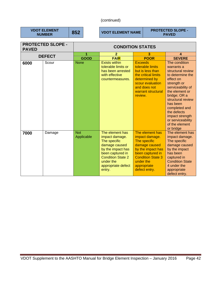## (continued)

| <b>VDOT ELEMENT</b><br><b>NUMBER</b>     |               | 852         |                         | <b>VDOT ELEMENT NAME</b>                                                                                                                                                             |                           |                                                                                                                                                                         | <b>PROTECTED SLOPE -</b><br><b>PAVED</b>                                                                                                                                                                                                                                                        |
|------------------------------------------|---------------|-------------|-------------------------|--------------------------------------------------------------------------------------------------------------------------------------------------------------------------------------|---------------------------|-------------------------------------------------------------------------------------------------------------------------------------------------------------------------|-------------------------------------------------------------------------------------------------------------------------------------------------------------------------------------------------------------------------------------------------------------------------------------------------|
| <b>PROTECTED SLOPE -</b><br><b>PAVED</b> |               |             | <b>CONDITION STATES</b> |                                                                                                                                                                                      |                           |                                                                                                                                                                         |                                                                                                                                                                                                                                                                                                 |
|                                          | <b>DEFECT</b> |             | 1                       | $\overline{2}$                                                                                                                                                                       |                           | 3                                                                                                                                                                       | $\boldsymbol{A}$                                                                                                                                                                                                                                                                                |
|                                          |               |             | <b>GOOD</b>             | <b>FAIR</b>                                                                                                                                                                          |                           | <b>POOR</b>                                                                                                                                                             | <b>SEVERE</b>                                                                                                                                                                                                                                                                                   |
| 6000                                     | Scour         | <b>None</b> |                         | <b>Exists within</b><br>tolerable limits or<br>has been arrested<br>with effective<br>countermeasures.                                                                               | <b>Exceeds</b><br>review. | tolerable limits<br>but is less than<br>the critical limits<br>determined by<br>scour evaluation<br>and does not<br>warrant structural                                  | The condition<br>warrants a<br>structural review<br>to determine the<br>effect on<br>strength or<br>serviceability of<br>the element or<br>bridge; OR a<br>structural review<br>has been<br>completed and<br>the defects<br>impact strength<br>or serviceability<br>of the element<br>or bridge |
| 7000                                     | Damage        | <b>Not</b>  | Applicable              | The element has<br>impact damage.<br>The specific<br>damage caused<br>by the impact has<br>been captured in<br><b>Condition State 2</b><br>under the<br>appropriate defect<br>entry. | under the                 | The element has<br>impact damage.<br>The specific<br>damage caused<br>by the impact has<br>been captured in<br><b>Condition State 3</b><br>appropriate<br>defect entry. | The element has<br>impact damage.<br>The specific<br>damage caused<br>by the impact<br>has been<br>captured in<br><b>Condition State</b><br>4 under the<br>appropriate<br>defect entry.                                                                                                         |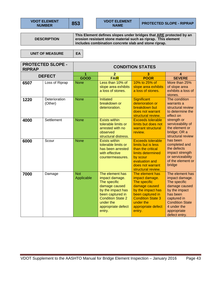| <b>VDOT ELEMENT</b> |  |
|---------------------|--|
| <b>NUMBER</b>       |  |

**DESCRIPTION** 

**This Element defines slopes under bridges that ARE protected by an erosion resistant stone material such as riprap. This element includes combination concrete slab and stone riprap.** 

**UNIT OF MEASURE EA** 

**PROTECTED SLOPE - RIPRAP CONDITION STATES DEFECT**  $\begin{array}{|c|c|c|c|c|c|}\n\hline\n & 1 & 2 & 3 & 4 \\
\hline\n\text{GOD} & \text{EAD} & \text{BOOB} & \text{SEVE} \\
\hline\n\end{array}$ **GOOD FAIR POOR SEVERE 6507** Loss of Riprap None Less than 10% of slope area exhibits a loss of stones. 10% to 25% of slope area exhibits a loss of stones. More than 25% of slope area exhibits a loss of stones. 1220 | Deterioration (Other) None Initiated breakdown or deterioration. **Significant** deterioration or breakdown but does not warrant structural review. The condition warrants a structural review to determine the effect on strength or serviceability of the element or bridge; OR a structural review has been completed and the defects impact strength or serviceability of the element or bridge **4000** Settlement None **Exists within** tolerable limits or arrested with no observed structural distress. Exceeds tolerable limits but does not warrant structural review. **6000** Scour None **Exists within** tolerable limits or has been arrested with effective countermeasures. Exceeds tolerable limits but is less than the critical limits determined by scour evaluation and does not warrant structural review. **7000 | Damage | Not** Applicable The element has impact damage. The specific damage caused by the impact has been captured in Condition State 2 under the appropriate defect entry. The element has impact damage. The specific damage caused by the impact has been captured in Condition State 3 under the appropriate defect entry. The element has impact damage. The specific damage caused by the impact has been captured in Condition State 4 under the appropriate defect entry.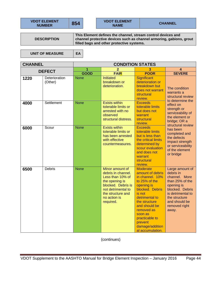| <b>VDOT ELEMENT</b> |
|---------------------|
| <b>NUMBER</b>       |

**NAME CHANNEL** 

**DESCRIPTION** 

**This Element defines the channel, stream control devices and channel protective devices such as channel armoring, gabions, grout filled bags and other protective systems.** 

UNIT OF MEASURE EA

| <b>CHANNEL</b> |                          |             |                                                                                                                                                                           | <b>CONDITION STATES</b>                                                                                                                                                                                                                                             |                                                                                                                                                                                    |  |
|----------------|--------------------------|-------------|---------------------------------------------------------------------------------------------------------------------------------------------------------------------------|---------------------------------------------------------------------------------------------------------------------------------------------------------------------------------------------------------------------------------------------------------------------|------------------------------------------------------------------------------------------------------------------------------------------------------------------------------------|--|
| <b>DEFECT</b>  |                          | 1           | 2                                                                                                                                                                         | 3                                                                                                                                                                                                                                                                   | 4                                                                                                                                                                                  |  |
|                |                          | GOOD        | <b>FAIR</b>                                                                                                                                                               | <b>POOR</b>                                                                                                                                                                                                                                                         | <b>SEVERE</b>                                                                                                                                                                      |  |
| 1220           | Deterioration<br>(Other) | <b>None</b> | <b>Initiated</b><br>breakdown or<br>deterioration.                                                                                                                        | Significant<br>deterioration or<br>breakdown but<br>does not warrant<br>structural<br>review.                                                                                                                                                                       | The condition<br>warrants a<br>structural review<br>to determine the                                                                                                               |  |
| 4000           | Settlement               | <b>None</b> | <b>Exists within</b><br>tolerable limits or<br>arrested with no<br>observed<br>structural distress.                                                                       | <b>Exceeds</b><br>tolerable limits<br>but does not<br>warrant<br>structural<br>review.                                                                                                                                                                              | effect on<br>strength or<br>serviceability of<br>the element or<br>bridge; OR a                                                                                                    |  |
| 6000           | Scour                    | <b>None</b> | <b>Exists within</b><br>tolerable limits or<br>has been arrested<br>with effective<br>countermeasures.                                                                    | <b>Exceeds</b><br>tolerable limits<br>but is less than<br>the critical limits<br>determined by<br>scour evaluation<br>and does not<br>warrant<br>structural<br>review.                                                                                              | structural review<br>has been<br>completed and<br>the defects<br>impact strength<br>or serviceability<br>of the element<br>or bridge                                               |  |
| 6500           | <b>Debris</b>            | <b>None</b> | Minor amount of<br>debris in channel.<br>Less than 10% of<br>the opening is<br>blocked. Debris is<br>not detrimental to<br>the structure and<br>no action is<br>required. | <b>Moderate</b><br>amount of debris<br>in channel. 10%<br>to 25% of the<br>opening is<br>blocked. Debris<br>is not<br>detrimental to<br>the structure<br>and should be<br>removed as<br>soon as<br>practicable to<br>prevent<br>damage/addition<br>al accumulation. | Large amount of<br>debris in<br>channel. More<br>than 25% of the<br>opening is<br>blocked. Debris<br>is detrimental to<br>the structure<br>and should be<br>removed right<br>away. |  |

(continues)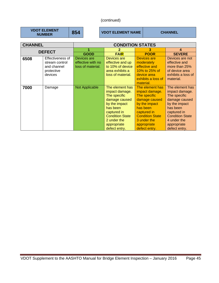## (continued)

| <b>VDOT ELEMENT</b><br>854<br><b>NUMBER</b> |
|---------------------------------------------|
|---------------------------------------------|

**NUMBER 854 VDOT ELEMENT NAME CHANNEL** 

| <b>CHANNEL</b>                                                                     |        | <b>CONDITION STATES</b>                               |                                                                                                                                                                                         |                                                                                                                                                                                         |                                                                                                                                                                                         |
|------------------------------------------------------------------------------------|--------|-------------------------------------------------------|-----------------------------------------------------------------------------------------------------------------------------------------------------------------------------------------|-----------------------------------------------------------------------------------------------------------------------------------------------------------------------------------------|-----------------------------------------------------------------------------------------------------------------------------------------------------------------------------------------|
| <b>DEFECT</b>                                                                      |        |                                                       | 2                                                                                                                                                                                       | з                                                                                                                                                                                       | 4                                                                                                                                                                                       |
|                                                                                    |        | <b>GOOD</b>                                           | <b>FAIR</b>                                                                                                                                                                             | <b>POOR</b>                                                                                                                                                                             | <b>SEVERE</b>                                                                                                                                                                           |
| Effectiveness of<br>6508<br>stream control<br>and channel<br>protective<br>devices |        | Devices are<br>effective with no<br>loss of material. | Devices are<br>effective and up<br>to 10% of device<br>area exhibits a<br>loss of material.                                                                                             | <b>Devices</b> are<br>moderately<br>effective and<br>10% to 25% of<br>device area<br>exhibits a loss of<br>material.                                                                    | Devices are not<br>effective and<br>more than 25%<br>of device area<br>exhibits a loss of<br>material.                                                                                  |
| 7000                                                                               | Damage | <b>Not Applicable</b>                                 | The element has<br>impact damage.<br>The specific<br>damage caused<br>by the impact<br>has been<br>captured in<br><b>Condition State</b><br>2 under the<br>appropriate<br>defect entry. | The element has<br>impact damage.<br>The specific<br>damage caused<br>by the impact<br>has been<br>captured in<br><b>Condition State</b><br>3 under the<br>appropriate<br>defect entry. | The element has<br>impact damage.<br>The specific<br>damage caused<br>by the impact<br>has been<br>captured in<br><b>Condition State</b><br>4 under the<br>appropriate<br>defect entry. |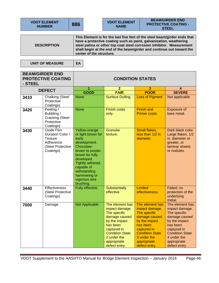| <b>VDOT ELEMENT</b><br><b>NUMBER</b> | 886                                                                                                                                                                                                                                                                                                                           |  | <b>BEAM/GIRDER END</b><br><b>VDOT ELEMENT</b><br><b>PROTECTIVE COATING -</b><br><b>NAME</b><br><b>STEEL</b> |  |  |  |  |  |
|--------------------------------------|-------------------------------------------------------------------------------------------------------------------------------------------------------------------------------------------------------------------------------------------------------------------------------------------------------------------------------|--|-------------------------------------------------------------------------------------------------------------|--|--|--|--|--|
|                                      |                                                                                                                                                                                                                                                                                                                               |  |                                                                                                             |  |  |  |  |  |
| <b>DESCRIPTION</b>                   | This Element is for the last five feet of the steel beam/girder ends that<br>have a protective coating such as paint, galvanization, weathering<br>steel patina or other top coat steel corrosion inhibitor. Measurement<br>shall begin at the end of the beam/girder and continue out toward the<br>center of the structure. |  |                                                                                                             |  |  |  |  |  |

**UNIT OF MEASURE** 

|--|

| - STEEL        | <b>BEAM/GIRDER END</b><br><b>PROTECTIVE COATING</b>                                      | <b>CONDITION STATES</b>                                                                                                                                                                                                         |                                                                                                                                                                                         |                                                                                                                                                                                         |                                                                                                                                                                                         |  |
|----------------|------------------------------------------------------------------------------------------|---------------------------------------------------------------------------------------------------------------------------------------------------------------------------------------------------------------------------------|-----------------------------------------------------------------------------------------------------------------------------------------------------------------------------------------|-----------------------------------------------------------------------------------------------------------------------------------------------------------------------------------------|-----------------------------------------------------------------------------------------------------------------------------------------------------------------------------------------|--|
|                | <b>DEFECT</b>                                                                            | 1<br>GOOD                                                                                                                                                                                                                       | $\overline{2}$<br><b>FAIR</b>                                                                                                                                                           | 3<br><b>POOR</b>                                                                                                                                                                        | 4<br><b>SEVERE</b>                                                                                                                                                                      |  |
| 3410           | <b>Chalking (Steel</b><br>Protective<br>Coatings)                                        | <b>None</b>                                                                                                                                                                                                                     | Surface Dulling.                                                                                                                                                                        | <b>Loss of Pigment</b>                                                                                                                                                                  | Not applicable.                                                                                                                                                                         |  |
| 3420           | Peeling /<br>Bubbling /<br><b>Cracking (Steel</b><br>Protective<br>Coatings)             | <b>None</b>                                                                                                                                                                                                                     | <b>Finish coats</b><br>only.                                                                                                                                                            | <b>Finish and</b><br>Primer coats.                                                                                                                                                      | Exposure of<br>bare metal.                                                                                                                                                              |  |
| 3430           | Oxide Film<br>Duration Color /<br>Texture<br>Adherence<br>(Steel Protective<br>Coatings) | Yellow-orange<br>or light brown for<br>early<br>development.<br>Chocolate-<br>brown to purple-<br>brown for fully<br>developed.<br>Tightly adhered,<br>capable of<br>withstanding<br>hammering or<br>vigorous wire<br>brushing. | Granular<br>texture.                                                                                                                                                                    | Small flakes,<br>less than 1/2 in.<br>diameter.                                                                                                                                         | Dark black color.<br>Large flakes, 1/2<br>in. diameter or<br>greater, or<br>laminar sheets<br>or nodules.                                                                               |  |
| 3440           | <b>Effectiveness</b><br>(Steel Protective<br>Coatings)                                   | Fully effective.                                                                                                                                                                                                                | <b>Substantially</b><br>effective.                                                                                                                                                      | Limited<br>effectiveness.                                                                                                                                                               | Failed; no<br>protection of the<br>underlying<br>metal.                                                                                                                                 |  |
| 7000<br>Damage |                                                                                          | <b>Not Applicable</b>                                                                                                                                                                                                           | The element has<br>impact damage.<br>The specific<br>damage caused<br>by the impact<br>has been<br>captured in<br><b>Condition State</b><br>2 under the<br>appropriate<br>defect entry. | The element has<br>impact damage.<br>The specific<br>damage caused<br>by the impact<br>has been<br>captured in<br><b>Condition State</b><br>3 under the<br>appropriate<br>defect entry. | The element has<br>impact damage.<br>The specific<br>damage caused<br>by the impact<br>has been<br>captured in<br><b>Condition State</b><br>4 under the<br>appropriate<br>defect entry. |  |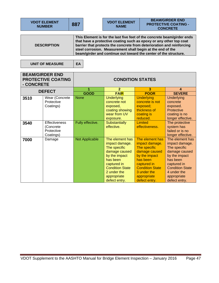| <b>VDOT ELEMENT</b><br><b>NUMBER</b> | 887 | <b>VDOT ELEMENT</b><br><b>NAME</b>                         | <b>BEAM/GIRDER END</b><br><b>PROTECTIVE COATING -</b><br><b>CONCRETE</b>                                                                                                                                                                                                                   |  |  |  |  |  |
|--------------------------------------|-----|------------------------------------------------------------|--------------------------------------------------------------------------------------------------------------------------------------------------------------------------------------------------------------------------------------------------------------------------------------------|--|--|--|--|--|
|                                      |     |                                                            |                                                                                                                                                                                                                                                                                            |  |  |  |  |  |
| <b>DESCRIPTION</b>                   |     | steel corrosion. Measurement shall begin at the end of the | This Element is for the last five feet of the concrete beam/girder ends<br>that have a protective coating such as epoxy or any other top coat<br>barrier that protects the concrete from deterioration and reinforcing<br>beam/girder and continue out toward the center of the structure. |  |  |  |  |  |

UNIT OF MEASURE | EA

| - CONCRETE | <b>BEAM/GIRDER END</b><br><b>PROTECTIVE COATING</b>   |                       |                                                                                                                                                                                         | <b>CONDITION STATES</b>                                                                                                                                                                 |                                                                                                                                                                                         |
|------------|-------------------------------------------------------|-----------------------|-----------------------------------------------------------------------------------------------------------------------------------------------------------------------------------------|-----------------------------------------------------------------------------------------------------------------------------------------------------------------------------------------|-----------------------------------------------------------------------------------------------------------------------------------------------------------------------------------------|
|            | <b>DEFECT</b>                                         | 1                     | $\overline{2}$                                                                                                                                                                          | 3                                                                                                                                                                                       | 4                                                                                                                                                                                       |
|            |                                                       | <b>GOOD</b>           | <b>FAIR</b>                                                                                                                                                                             | <b>POOR</b>                                                                                                                                                                             | <b>SEVERE</b>                                                                                                                                                                           |
| 3510       | Wear (Concrete<br>Protective<br>Coatings)             | <b>None</b>           | <b>Underlying</b><br>concrete not<br>exposed,<br>coating showing<br>wear from UV                                                                                                        | <b>Underlying</b><br>concrete is not<br>exposed;<br>thickness of<br>coating is                                                                                                          | <b>Underlying</b><br>concrete<br>exposed.<br>Protective<br>coating is no                                                                                                                |
|            |                                                       |                       | exposure.                                                                                                                                                                               | reduced.                                                                                                                                                                                | longer effective.                                                                                                                                                                       |
| 3540       | Effectiveness<br>(Concrete<br>Protective<br>Coatings) | Fully effective.      | <b>Substantially</b><br>effective.                                                                                                                                                      | <b>Limited</b><br>effectiveness.                                                                                                                                                        | The protective<br>system has<br>failed or is no<br>longer effective.                                                                                                                    |
| 7000       | Damage                                                | <b>Not Applicable</b> | The element has<br>impact damage.<br>The specific<br>damage caused<br>by the impact<br>has been<br>captured in<br><b>Condition State</b><br>2 under the<br>appropriate<br>defect entry. | The element has<br>impact damage.<br>The specific<br>damage caused<br>by the impact<br>has been<br>captured in<br><b>Condition State</b><br>3 under the<br>appropriate<br>defect entry. | The element has<br>impact damage.<br>The specific<br>damage caused<br>by the impact<br>has been<br>captured in<br><b>Condition State</b><br>4 under the<br>appropriate<br>defect entry. |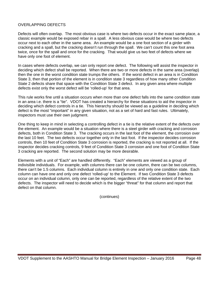## OVERLAPPING DEFECTS

Defects will often overlap. The most obvious case is where two defects occur in the exact same place, a classic example would be exposed rebar in a spall. A less obvious case would be where two defects occur next to each other in the same area. An example would be a one foot section of a girder with cracking and a spall, but the cracking doesn't run through the spall. We can't count this one foot area twice, once for the spall and once for the cracking. That would give us two feet of defects where we have only one foot of element.

In cases where defects overlap, we can only report one defect. The following will assist the inspector in deciding which defect shall be reported. When there are two or more defects in the same area (overlap) then the one in the worst condition state trumps the others. If the worst defect in an area is in Condition State 3, then that portion of the element is in condition state 3 regardless of how many other Condition State 2 defects share that space with the Condition State 3 defect. In any given area where multiple defects exist only the worst defect will be 'rolled-up' for that area.

This rule works fine until a situation occurs when more than one defect falls into the same condition state in an area i.e. there is a "tie". VDOT has created a hierarchy for these situations to aid the inspector in deciding which defect controls in a tie. This hierarchy should be viewed as a guideline in deciding which defect is the most "important" in any given situation, not as a set of hard and fast rules. Ultimately, inspectors must use their own judgment.

One thing to keep in mind in selecting a controlling defect in a tie is the relative extent of the defects over the element. An example would be a situation where there is a steel girder with cracking and corrosion defects, both in Condition State 3. The cracking occurs in the last foot of the element, the corrosion over the last 10 feet. The two defects occur together only in the last foot. If the inspector decides corrosion controls, then 10 feet of Condition State 3 corrosion is reported, the cracking is not reported at all. If the inspector decides cracking controls, 9 feet of Condition State 3 corrosion and one foot of Condition State 3 cracking are reported. The second solution may be more desirable.

Elements with a unit of "Each" are handled differently. "Each" elements are viewed as a group of indivisible individuals. For example, with columns there can be one column, there can be two columns, there can't be 1.5 columns. Each individual column is entirely in one and only one condition state. Each column can have one and only one defect 'rolled-up' to the Element. If two Condition State 3 defects occur on an individual column, only one can be reported, regardless of the relative extent of the two defects. The inspector will need to decide which is the bigger "threat" for that column and report that defect on that column.

(continues)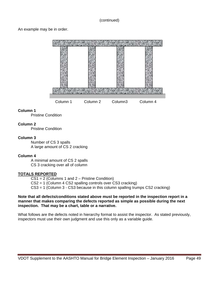#### (continued)

An example may be in order.



#### **Column 1**

Pristine Condition

#### **Column 2**

Pristine Condition

#### **Column 3**

 Number of CS 3 spalls A large amount of CS 2 cracking

#### **Column 4**

 A minimal amount of CS 2 spalls CS 3 cracking over all of column

#### **TOTALS REPORTED**

 CS1 = 2 (Columns 1 and 2 – Pristine Condition) CS2 = 1 (Column 4 CS2 spalling controls over CS3 cracking) CS3 = 1 (Column 3 - CS3 because in this column spalling trumps CS2 cracking)

#### **Note that all defects/conditions stated above must be reported in the inspection report in a manner that makes comparing the defects reported as simple as possible during the next inspection. That may be a chart, table or a narrative.**

What follows are the defects noted in hierarchy format to assist the inspector. As stated previously, inspectors must use their own judgment and use this only as a variable guide.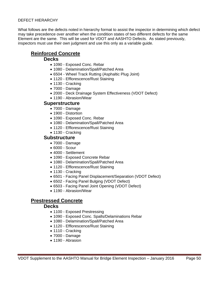#### DEFECT HIERARCHY

What follows are the defects noted in hierarchy format to assist the inspector in determining which defect may take precedence over another when the condition states of two different defects for the same Element are the same. This will be used for VDOT and AASHTO Defects. As stated previously, inspectors must use their own judgment and use this only as a variable guide.

# **Reinforced Concrete**

## **Decks**

- 1090 Exposed Conc. Rebar
- 1080 Delamination/Spall/Patched Area
- 6504 Wheel Track Rutting (Asphaltic Plug Joint)
- 1120 Efflorescence/Rust Staining
- 1130 Cracking
- 7000 Damage
- 2000 Deck Drainage System Effectiveness (VDOT Defect)
- 1190 Abrasion/Wear

## **Superstructure**

- 7000 Damage
- 1900 Distortion
- 1090 Exposed Conc. Rebar
- 1080 Delamination/Spall/Patched Area
- 1120 Efflorescence/Rust Staining
- 1130 Cracking

## **Substructure**

- 7000 Damage
- 6000 Scour
- 4000 Settlement
- 1090 Exposed Concrete Rebar
- 1080 Delamination/Spall/Patched Area
- 1120 Efflorescence/Rust Staining
- 1130 Cracking
- 6501 Facing Panel Displacement/Separation (VDOT Defect)
- 6502 Facing Panel Bulging (VDOT Defect)
- 6503 Facing Panel Joint Opening (VDOT Defect)
- 1190 Abrasion/Wear

# **Prestressed Concrete**

## **Decks**

- 1100 Exposed Prestressing
- 1090 Exposed Conc. Spalls/Delaminations Rebar
- 1080 Delamination/Spall/Patched Area
- 1120 Efflorescence/Rust Staining
- 1110 Cracking
- 7000 Damage
- 1190 Abrasion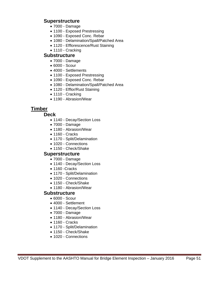# **Superstructure**

- 7000 Damage
- 1100 Exposed Prestressing
- 1090 Exposed Conc. Rebar
- 1080 Delamination/Spall/Patched Area
- 1120 Efflorescence/Rust Staining
- 1110 Cracking

# **Substructure**

- 7000 Damage
- 6000 Scour
- 4000 Settlements
- 1100 Exposed Prestressing
- 1090 Exposed Conc. Rebar
- 1080 Delamination/Spall/Patched Area
- 1120 Efflor/Rust Staining
- 1110 Cracking
- 1190 Abrasion/Wear

# **Timber**

## **Deck**

- 1140 Decay/Section Loss
- 7000 Damage
- 1180 Abrasion/Wear
- 1160 Cracks
- 1170 Split/Delamination
- 1020 Connections
- 1150 Check/Shake

## **Superstructure**

- 7000 Damage
- 1140 Decay/Section Loss
- 1160 Cracks
- 1170 Split/Delamination
- 1020 Connections
- 1150 Check/Shake
- 1180 Abrasion/Wear

# **Substructure**

- 6000 Scour
- 4000 Settlement
- 1140 Decay/Section Loss
- 7000 Damage
- 1180 Abrasion/Wear
- 1160 Cracks
- 1170 Split/Delamination
- 1150 Check/Shake
- 1020 Connections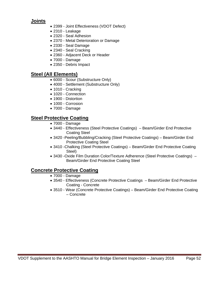# **Joints**

- 2399 Joint Effectiveness (VDOT Defect)
- 2310 Leakage
- 2320 Seal Adhesion
- 2370 Metal Deterioration or Damage
- 2330 Seal Damage
- 2340 Seal Cracking
- 2360 Adjacent Deck or Header
- 7000 Damage
- 2350 Debris Impact

# **Steel (All Elements)**

- 6000 Scour (Substructure Only)
- 4000 Settlement (Substructure Only)
- 1010 Cracking
- 1020 Connection
- 1900 Distortion
- 1000 Corrosion
- 7000 Damage

# **Steel Protective Coating**

- 7000 Damage
- 3440 Effectiveness (Steel Protective Coatings) Beam/Girder End Protective Coating Steel
- 3420 -Peeling/Bubbling/Cracking (Steel Protective Coatings) Beam/Girder End Protective Coating Steel
- 3410 -Chalking (Steel Protective Coatings) Beam/Girder End Protective Coating Steel)
- 3430 -Oxide Film Duration Color/Texture Adherence (Steel Protective Coatings) Beam/Girder End Protective Coating Steel

# **Concrete Protective Coating**

- 7000 Damage
- 3540 Effectiveness (Concrete Protective Coatings Beam/Girder End Protective Coating - Concrete
- 3510 Wear (Concrete Protective Coatings) Beam/Girder End Protective Coating – Concrete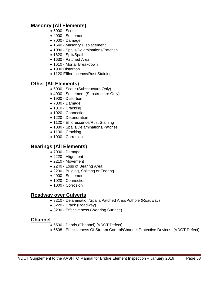# **Masonry (All Elements)**

- 6000 Scour
- 4000 Settlement
- 7000 Damage
- 1640 Masonry Displacement
- 1080 Spalls/Delaminations/Patches
- 1620 Split/Spall
- 1630 Patched Area
- 1610 Mortar Breakdown
- 1900 Distortion
- 1120 Efflorescence/Rust Staining

# **Other (All Elements)**

- 6000 Scour (Substructure Only)
- 4000 Settlement (Substructure Only)
- 1900 Distortion
- 7000 Damage
- 1010 Cracking
- 1020 Connection
- 1220 Deterioration
- 1120 Efflorescence/Rust Staining
- 1080 Spalls/Delaminations/Patches
- 1130 Cracking
- 1000 Corrosion

# **Bearings (All Elements)**

- 7000 Damage
- 2220 Alignment
- 2210 Movement
- 2240 Loss of Bearing Area
- 2230 Bulging, Splitting or Tearing
- 4000 Settlement
- 1020 Connection
- 1000 Corrosion

# **Roadway over Culverts**

- 3210 Delamination/Spalls/Patched Area/Pothole (Roadway)
- 3220 Crack (Roadway)
- 3230 Effectiveness (Wearing Surface)

# **Channel**

- 6500 Debris (Channel) (VDOT Defect)
- 6508 Effectiveness Of Stream Control/Channel Protective Devices (VDOT Defect)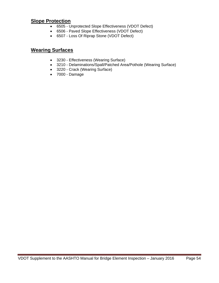# **Slope Protection**

- 6505 Unprotected Slope Effectiveness (VDOT Defect)
- 6506 Paved Slope Effectiveness (VDOT Defect)
- 6507 Loss Of Riprap Stone (VDOT Defect)

# **Wearing Surfaces**

- 3230 Effectiveness (Wearing Surface)
- 3210 Delaminations/Spall/Patched Area/Pothole (Wearing Surface)
- 3220 Crack (Wearing Surface)
- 7000 Damage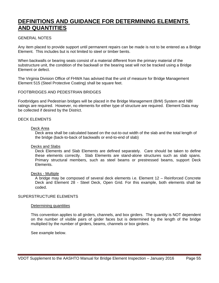# **DEFINITIONS AND GUIDANCE FOR DETERMINING ELEMENTS AND QUANTITIES**

#### GENERAL NOTES

Any item placed to provide support until permanent repairs can be made is not to be entered as a Bridge Element. This includes but is not limited to steel or timber bents.

When backwalls or bearing seats consist of a material different from the primary material of the substructure unit, the condition of the backwall or the bearing seat will not be tracked using a Bridge Element or defect.

The Virginia Division Office of FHWA has advised that the unit of measure for Bridge Management Element 515 (Steel Protective Coating) shall be square feet.

#### FOOTBRIDGES AND PEDESTRIAN BRIDGES

Footbridges and Pedestrian bridges will be placed in the Bridge Management (BrM) System and NBI ratings are required. However, no elements for either type of structure are required. Element Data may be collected if desired by the District.

#### DECK ELEMENTS

#### Deck Area

Deck area shall be calculated based on the out-to-out width of the slab and the total length of the bridge (back-to-back of backwalls or end-to-end of slab)

#### Decks and Slabs

Deck Elements and Slab Elements are defined separately. Care should be taken to define these elements correctly. Slab Elements are stand-alone structures such as slab spans. Primary structural members, such as steel beams or prestressed beams, support Deck Elements.

#### Decks - Multiple

A bridge may be composed of several deck elements i.e. Element 12 – Reinforced Concrete Deck and Element 28 - Steel Deck, Open Grid. For this example, both elements shall be coded.

#### SUPERSTRUCTURE ELEMENTS

#### Determining quantities

This convention applies to all girders, channels, and box girders. The quantity is NOT dependent on the number of visible pairs of girder faces but is determined by the length of the bridge multiplied by the number of girders, beams, channels or box girders.

See example below.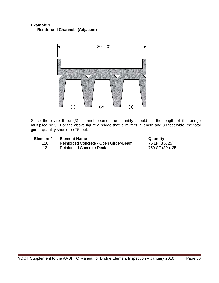## **Example 1: Reinforced Channels (Adjacent)**



Since there are three (3) channel beams, the quantity should be the length of the bridge multiplied by 3. For the above figure a bridge that is 25 feet in length and 30 feet wide, the total girder quantity should be 75 feet.

| Element # | <b>Element Name</b>                    | Quantity         |
|-----------|----------------------------------------|------------------|
| 110       | Reinforced Concrete - Open Girder/Beam | 75 LF (3 X 25)   |
| 12        | <b>Reinforced Concrete Deck</b>        | 750 SF (30 x 25) |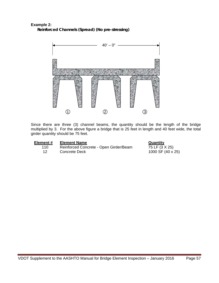## **Example 2: Reinforced Channels (Spread) (No pre-stressing)**



Since there are three (3) channel beams, the quantity should be the length of the bridge multiplied by 3. For the above figure a bridge that is 25 feet in length and 40 feet wide, the total girder quantity should be 75 feet.

| Element # |  |
|-----------|--|
| 110       |  |

**Element # Element Name**<br>110 Reinforced Concrete - Open Girder/Beam <br>75 LF (3 X 25) Reinforced Concrete - Open Girder/Beam 12 Concrete Deck 1000 SF (40 x 25)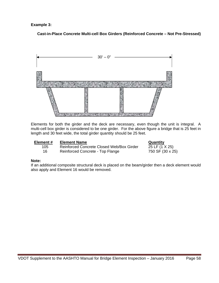**Example 3:** 

 **Cast-in-Place Concrete Multi-cell Box Girders (Reinforced Concrete – Not Pre-Stressed)** 



Elements for both the girder and the deck are necessary, even though the unit is integral. A multi-cell box girder is considered to be one girder. For the above figure a bridge that is 25 feet in length and 30 feet wide, the total girder quantity should be 25 feet.

| Element # |  |  |
|-----------|--|--|
|           |  |  |

**Element Name**<br>Reinforced Concrete Closed Web/Box Girder 25 LF (1 X 25) 105 Reinforced Concrete Closed Web/Box Girder

16 Reinforced Concrete - Top Flange 750 SF (30 x 25)

#### **Note:**

If an additional composite structural deck is placed on the beam/girder then a deck element would also apply and Element 16 would be removed.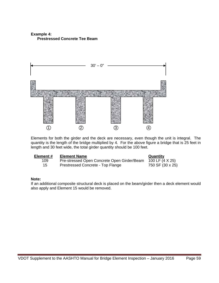## **Example 4: Prestressed Concrete Tee Beam**



Elements for both the girder and the deck are necessary, even though the unit is integral. The quantity is the length of the bridge multiplied by 4. For the above figure a bridge that is 25 feet in length and 30 feet wide, the total girder quantity should be 100 feet.

| Element # | <b>Element Name</b>                         | Quantity         |
|-----------|---------------------------------------------|------------------|
| 109       | Pre-stressed Open Concrete Open Girder/Beam | 100 LF (4 X 25)  |
| 15        | Prestressed Concrete - Top Flange           | 750 SF (30 x 25) |

#### **Note:**

If an additional composite structural deck is placed on the beam/girder then a deck element would also apply and Element 15 would be removed.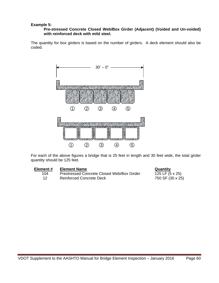#### **Example 5:**

#### **Pre-stressed Concrete Closed Web/Box Girder (Adjacent) (Voided and Un-voided) with reinforced deck with mild steel.**

The quantity for box girders is based on the number of girders. A deck element should also be coded.



For each of the above figures a bridge that is 25 feet in length and 30 feet wide, the total girder quantity should be 125 feet.

> **Quantity**  $125 \text{ LF } (5 \times 25)$ 750 SF (30 x 25)

| Element# | <b>Element Name</b>                        |
|----------|--------------------------------------------|
| 104      | Prestressed Concrete Closed Web/Box Girder |
| 12       | <b>Reinforced Concrete Deck</b>            |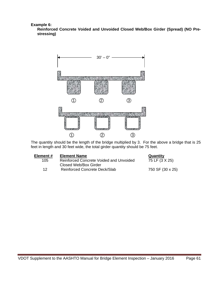**Example 6:** 

**Reinforced Concrete Voided and Unvoided Closed Web/Box Girder (Spread) (NO Prestressing)** 



The quantity should be the length of the bridge multiplied by 3. For the above a bridge that is 25 feet in length and 30 feet wide, the total girder quantity should be 75 feet.

| Element # | <b>Element Name</b>                     | Quantity         |
|-----------|-----------------------------------------|------------------|
| 105       | Reinforced Concrete Voided and Unvoided | 75 LF (3 X 25)   |
|           | Closed Web/Box Girder                   |                  |
| 12        | Reinforced Concrete Deck/Slab           | 750 SF (30 x 25) |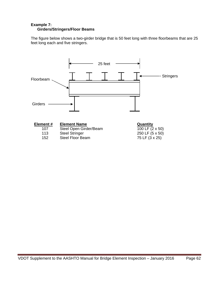## **Example 7: Girders/Stringers/Floor Beams**

The figure below shows a two-girder bridge that is 50 feet long with three floorbeams that are 25 feet long each and five stringers.

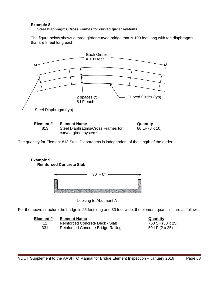#### **Example 8: Steel Diaphragms/Cross Frames for curved girder systems.**

The figure below shows a three girder curved bridge that is 100 feet long with ten diaphragms that are 8 feet long each.





The quantity for Element 813 Steel Diaphragms is independent of the length of the girder.

## **Example 9: Reinforced Concrete Slab**



Looking to Abutment A

For the above structure the bridge is 25 feet long and 30 feet wide, the element quantities are as follows:

| Element # | <b>Element Name</b>                       |
|-----------|-------------------------------------------|
| 12.       | Reinforced Concrete Deck / Slab           |
| 331       | <b>Reinforced Concrete Bridge Railing</b> |

**Quantity**  $\overline{750 \text{ SF } (30 \times 25)}$ 50 LF (2 x 25)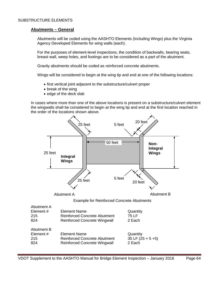#### SUBSTRUCTURE ELEMENTS

#### **Abutments – General**

Abutments will be coded using the AASHTO Elements (including Wings) plus the Virginia Agency Developed Elements for wing walls (each).

For the purposes of element-level inspections, the condition of backwalls, bearing seats, breast wall, weep holes, and footings are to be considered as a part of the abutment.

Gravity abutments should be coded as reinforced concrete abutments.

Wings will be considered to begin at the wing tip and end at one of the following locations:

- first vertical joint adjacent to the substructure/culvert proper
- break of the wing
- edge of the deck slab

In cases where more than one of the above locations is present on a substructure/culvert element the wingwalls shall be considered to begin at the wing tip and end at the first location reached in the order of the locations shown above.

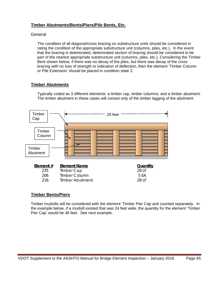## **Timber Abutments/Bents/Piers/Pile Bents, Etc.**

## **General**

The condition of all diagonal/cross bracing on substructure units should be considered in rating the condition of the appropriate substructure unit (columns, piles, etc.). In the event that the bracing is deteriorated, deteriorated section of bracing should be considered to be part of the nearest appropriate substructure unit (columns, piles, etc.). Considering the Timber Bent shown below, if there was no decay of the piles, but there was decay of the cross bracing with no loss of strength or indication of deflection, then the element 'Timber Column or Pile Extension' should be placed in condition state 2.

## **Timber Abutments**

Typically coded as 3 different elements: a timber cap, timber columns, and a timber abutment. The timber abutment in these cases will consist only of the timber lagging of the abutment.



## **Timber Bents/Piers**

Timber mudsills will be considered with the element 'Timber Pier Cap and counted separately. In the example below, if a mudsill existed that was 24 feet wide, the quantity for the element 'Timber Pier Cap' would be 48 feet. See next example.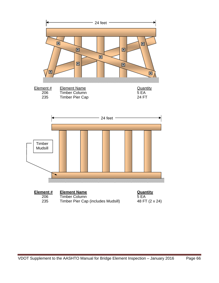





**Element # Element Name**  Quantity 206 Timber Column 5 EA<br>235 Timber Pier Cap (includes Mudsill) 48 FT (2 x 24) Timber Pier Cap (includes Mudsill)

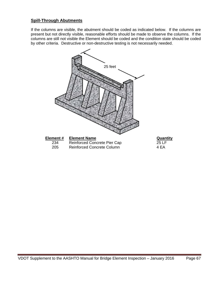## **Spill-Through Abutments**

If the columns are visible, the abutment should be coded as indicated below. If the columns are present but not directly visible, reasonable efforts should be made to observe the columns. If the columns are still not visible the Element should be coded and the condition state should be coded by other criteria. Destructive or non-destructive testing is not necessarily needed.

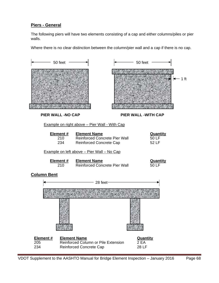## **Piers - General**

The following piers will have two elements consisting of a cap and either columns/piles or pier walls.

Where there is no clear distinction between the column/pier wall and a cap if there is no cap.

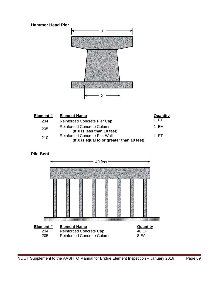## **Hammer Head Pier**



| Element # | <b>Element Name</b>                                                                | Quantity |
|-----------|------------------------------------------------------------------------------------|----------|
| 234       | Reinforced Concrete Pier Cap                                                       | L FT.    |
| 205       | <b>Reinforced Concrete Column</b><br>(If X is less than 10 feet)                   | 1 FA     |
| 210       | <b>Reinforced Concrete Pier Wall</b><br>(If X is equal to or greater than 10 feet) | L ET.    |

**Pile Bent**

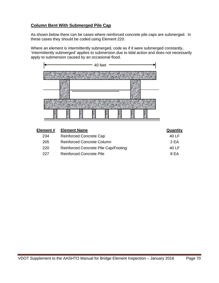## **Column Bent With Submerged Pile Cap**

As shown below there can be cases where reinforced concrete pile caps are submerged. In these cases they should be coded using Element 220.

Where an element is intermittently submerged, code as if it were submerged constantly, 'Intermittently submerged' applies to submersion due to tidal action and does not necessarily apply to submersion caused by an occasional flood.



| Element # | <b>Element Name</b>                  | <b>Quantity</b> |
|-----------|--------------------------------------|-----------------|
| 234       | <b>Reinforced Concrete Cap</b>       | 40 LF           |
| 205       | Reinforced Concrete Column           | 2 FA            |
| 220       | Reinforced Concrete Pile Cap/Footing | 40 LF           |
| 227       | Reinforced Concrete Pile             | 8 FA            |
|           |                                      |                 |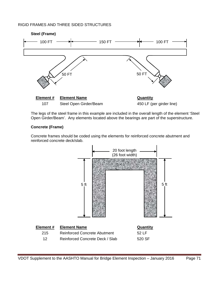## RIGID FRAMES AND THREE SIDED STRUCTURES



The legs of the steel frame in this example are included in the overall length of the element 'Steel Open Girder/Beam'. Any elements located above the bearings are part of the superstructure.

## **Concrete (Frame)**

Concrete frames should be coded using the elements for reinforced concrete abutment and reinforced concrete deck/slab.

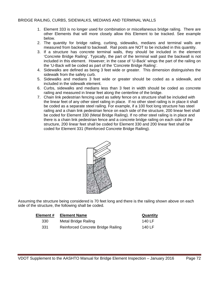#### BRIDGE RAILING, CURBS, SIDEWALKS, MEDIANS AND TERMINAL WALLS

- 1. Element 333 is no longer used for combination or miscellaneous bridge railing. There are other Elements that will more closely allow this Element to be tracked. See example below.
- 2. The quantity for bridge railing, curbing, sidewalks, medians and terminal walls are measured from backwall to backwall. Rail posts are NOT to be included in this quantity.
- 3. If a structure has concrete terminal walls, they should be included in the element 'Concrete Bridge Railing'. Typically, the part of the terminal wall past the backwall is not included in this element. However; in the case of 'U-Back' wings the part of the railing on the 'U-Back will be coded as part of the 'Concrete Bridge Railing'.
- 4. Sidewalks are defined as being 3 feet wide or greater. This dimension distinguishes the sidewalk from the safety curb.
- 5. Sidewalks and medians 3 feet wide or greater should be coded as a sidewalk, and included in the sidewalk element.
- 6. Curbs, sidewalks and medians less than 3 feet in width should be coded as concrete railing and measured in linear feet along the centerline of the bridge.
- 7. Chain link pedestrian fencing used as safety fence on a structure shall be included with the linear feet of any other steel railing in place. If no other steel railing is in place it shall be coded as a separate steel railing. For example, if a 100 foot long structure has steel railing and a chain link pedestrian fence on each side of the structure, 200 linear feet shall be coded for Element 330 (Metal Bridge Railing). If no other steel railing is in place and there is a chain link pedestrian fence and a concrete bridge railing on each side of the structure, 200 linear feet shall be coded for Element 330 and 200 linear feet shall be coded for Element 331 (Reinforced Concrete Bridge Railing).



Assuming the structure being considered is 70 feet long and there is the railing shown above on each side of the structure, the following shall be coded.

| Element # | <b>Element Name</b>                       | Quantity |
|-----------|-------------------------------------------|----------|
| 330       | Metal Bridge Railing                      | 140 LF   |
| 331       | <b>Reinforced Concrete Bridge Railing</b> | 140 LF   |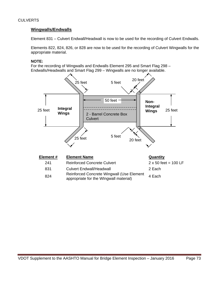## **CULVERTS**

#### **Wingwalls/Endwalls**

Element 831 – Culvert Endwall/Headwall is now to be used for the recording of Culvert Endwalls.

Elements 822, 824, 826, or 828 are now to be used for the recording of Culvert Wingwalls for the appropriate material.

#### **NOTE:**

For the recording of Wingwalls and Endwalls Element 295 and Smart Flag 298 – Endwalls/Headwalls and Smart Flag 299 – Wingwalls are no longer available.



- 831 Culvert Endwall/Headwall **2 Each**
- Reinforced Concrete Wingwall (Use Element Reinforced Concrete Wingwall (Ose Lienfert 4 Each<br>appropriate for the Wingwall material)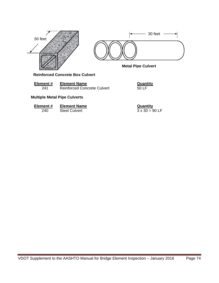



**Metal Pipe Culvert** 

**Reinforced Concrete Box Culvert**

| Element# | <b>Element Name</b>                | Quantity |
|----------|------------------------------------|----------|
| 241      | <b>Reinforced Concrete Culvert</b> | 50 LF    |

## **Multiple Metal Pipe Culverts**

| Element# | <b>Element Name</b> | Quantity              |
|----------|---------------------|-----------------------|
| 240      | Steel Culvert       | $3 \times 30 = 90$ LF |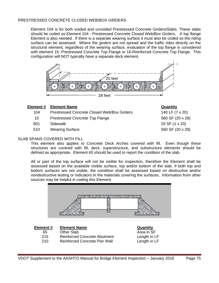#### PRESTRESSED CONCRETE CLOSED WEB/BOX GIRDERS

Element 104 is for both voided and unvoided Prestressed Concrete Girders/Slabs. These slabs should be coded as Element 104 - Prestressed Concrete Closed Web/Box Girders. A top flange Element is also needed. If there is a separate wearing surface it must also be coded so the riding surface can be assessed. Where the girders are not spread and the traffic rides directly on the structural element, regardless of the wearing surface, evaluation of the top flange is considered with element 15- Prestressed Concrete Top Flange or 16-Reinforced Concrete Top Flange. This configuration will NOT typically have a separate deck element.



#### **Element # Element Name Contract According to According the Contract Oriental According Contract Oriental According Contract Oriental According Contract Oriental According Contract Oriental According Contract Oriental Acco**

- 104 Prestressed Concrete Closed Web/Box Girders 140 LF (7 x 20)
- 15 Prestressed Concrete Top Flange 560 SF (20 x 28)
- 801 Sidewalk 20 SF (1 x 20)
- 510 Wearing Surface 560 SF (20 x 28)

## SLAB SPANS COVERED WITH FILL

This element also applies to Concrete Deck Arches covered with fill. Even though these structures are covered with fill, deck, superstructure, and substructure elements should be defined as appropriate. Element 65 should be used to report the condition of the slab.

All or part of the top surface will not be visible for inspection, therefore the Element shall be assessed based on the available visible surface, top and/or bottom of the slab. If both top and bottom surfaces are not visible, the condition shall be assessed based on destructive and/or nondestructive testing or indicators in the materials covering the surfaces. Information from other sources may be helpful in coding this Element.

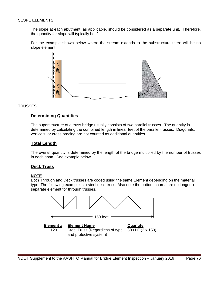#### SLOPE ELEMENTS

The slope at each abutment, as applicable, should be considered as a separate unit. Therefore, the quantity for slope will typically be '2'.

For the example shown below where the stream extends to the substructure there will be no slope element.



#### **TRUSSES**

## **Determining Quantities**

The superstructure of a truss bridge usually consists of two parallel trusses. The quantity is determined by calculating the combined length in linear feet of the parallel trusses. Diagonals, verticals, or cross bracing are not counted as additional quantities.

#### **Total Length**

The overall quantity is determined by the length of the bridge multiplied by the number of trusses in each span. See example below.

#### **Deck Truss**

#### **NOTE**

Both Through and Deck trusses are coded using the same Element depending on the material type. The following example is a steel deck truss. Also note the bottom chords are no longer a separate element for through trusses.

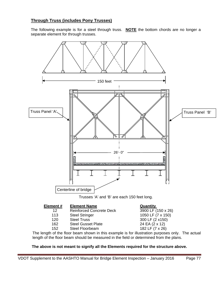# **Through Truss (includes Pony Trusses)**

The following example is for a steel through truss. **NOTE** the bottom chords are no longer a separate element for through trusses.



**Element # Element Name**  Quantity

- 12 Reinforced Concrete Deck 3900 LF (150 x 26) 113 Steel Stringer 1050 LF (7 x 150)
- 
- 162 Steel Gusset Plate
- 152 Steel Floorbeam 182 LF (7 x 26)
- 120 Steel Truss 300 LF (2 x150)<br>162 Steel Gusset Plate 24 EA (2 x 12)

The length of the floor beam shown in this example is for illustration purposes only. The actual length of the floor beam should be measured in the field or determined from the plans.

## **The above is not meant to signify all the Elements required for the structure above.**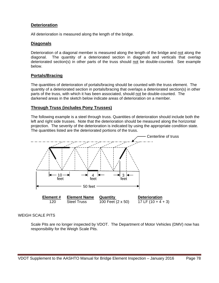## **Deterioration**

All deterioration is measured along the length of the bridge.

## **Diagonals**

Deterioration of a diagonal member is measured along the length of the bridge and not along the diagonal. The quantity of a deteriorated section in diagonals and verticals that overlap deteriorated section(s) in other parts of the truss should not be double-counted. See example below.

## **Portals/Bracing**

The quantities of deterioration of portals/bracing should be counted with the truss element. The quantity of a deteriorated section in portals/bracing that overlaps a deteriorated section(s) in other parts of the truss, with which it has been associated, should not be double-counted. The darkened areas in the sketch below indicate areas of deterioration on a member.

## **Through Truss (includes Pony Trusses)**

The following example is a steel through truss. Quantities of deterioration should include both the left and right side trusses. Note that the deterioration should be measured along the horizontal projection. The severity of the deterioration is indicated by using the appropriate condition state. The quantities listed are the deteriorated portions of the truss.



## WEIGH SCALE PITS

Scale Pits are no longer inspected by VDOT. The Department of Motor Vehicles (DMV) now has responsibility for the Weigh Scale Pits.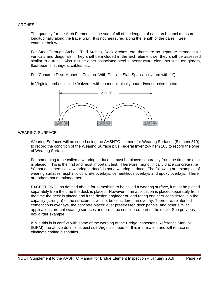#### ARCHES

The quantity for the Arch Elements is the sum of all of the lengths of each arch panel measured longitudinally along the travel way. It is not measured along the length of the barrel. See example below.

For Steel Through Arches, Tied Arches, Deck Arches, etc. there are no separate elements for verticals and diagonals. They shall be included in the arch element i.e. they shall be assessed similar to a truss. Also include other associated steel superstructure elements such as: girders, floor beams, stringers, cables, etc.

For 'Concrete Deck Arches – Covered With Fill' see 'Slab Spans - covered with fill')

In Virginia, arches include 'culverts' with no monolithically poured/constructed bottom.



#### WEARING SURFACE

Wearing Surfaces will be coded using the AASHTO element for Wearing Surfaces (Element 510) to record the condition of the Wearing Surface plus Federal Inventory Item 108 to record the type of Wearing Surface.

For something to be called a wearing surface, it must be placed separately from the time the deck is placed. This is the first and most important test. Therefore, monolithically place concrete (the ½" that designers call a wearing surface) is not a wearing surface. The following are examples of wearing surfaces: asphaltic concrete overlays, cementitious overlays and epoxy overlays. There are others not mentioned here.

EXCEPTIONS - as defined above for something to be called a wearing surface, it must be placed separately from the time the deck is placed. However, if an application is placed separately from the time the deck is placed and if the design engineer or load rating engineer considered it in the capacity (strength) of the structure, it will not be considered an overlay. Therefore, reinforced cementitious overlays, the concrete placed over prestressed deck panels, and other similar applications are not wearing surfaces and are to be considered part of the deck. See previous box girder example.

While this is in conflict with some of the wording of the Bridge Inspector's Reference Manual (BIRM), the above definitions best suit Virginia's need for this information and will reduce or eliminate coding disparities.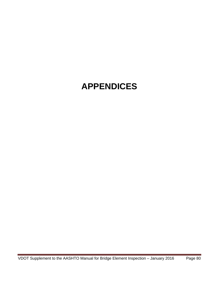# **APPENDICES**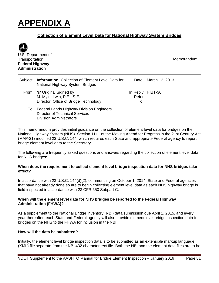# **APPENDIX A**

# **Collection of Element Level Data for National Highway System Bridges**



U.S. Department of **Transportation Federal Highway Administration**

Memorandum

| Subject: Information: Collection of Element Level Data for<br>National Highway System Bridges      |              | Date: March 12, 2013 |  |
|----------------------------------------------------------------------------------------------------|--------------|----------------------|--|
| From: /s/ Original Signed by<br>M. Myint Lwin, P.E., S.E.<br>Director, Office of Bridge Technology | Refer<br>To∶ | In Reply HIBT-30     |  |

To: Federal Lands Highway Division Engineers Director of Technical Services Division Administrators

This memorandum provides initial guidance on the collection of element level data for bridges on the National Highway System (NHS). Section 1111 of the Moving Ahead for Progress in the 21st Century Act (MAP-21) modified 23 U.S.C. 144, which requires each State and appropriate Federal agency to report bridge element level data to the Secretary.

The following are frequently asked questions and answers regarding the collection of element level data for NHS bridges:

## **When does the requirement to collect element level bridge inspection data for NHS bridges take effect?**

In accordance with 23 U.S.C. 144(d)(2), commencing on October 1, 2014, State and Federal agencies that have not already done so are to begin collecting element level data as each NHS highway bridge is field inspected in accordance with 23 CFR 650 Subpart C.

## **When will the element level data for NHS bridges be reported to the Federal Highway Administration (FHWA)?**

As a supplement to the National Bridge Inventory (NBI) data submission due April 1, 2015, and every year thereafter, each State and Federal agency will also provide element level bridge inspection data for bridges on the NHS to the FHWA for inclusion in the NBI.

## **How will the data be submitted?**

Initially, the element level bridge inspection data is to be submitted as an extensible markup language (XML) file separate from the NBI 432 character text file. Both the NBI and the element data files are to be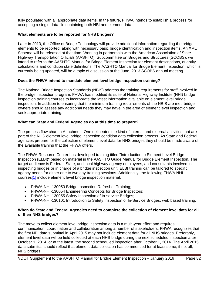fully populated with all appropriate data items. In the future, FHWA intends to establish a process for accepting a single data file containing both NBI and element data.

## **What elements are to be reported for NHS bridges?**

Later in 2013, the Office of Bridge Technology will provide additional information regarding the bridge elements to be reported, along with necessary basic bridge identification and inspection items. An XML Schema will be released at that time. Working in partnership with the American Association of State Highway Transportation Officials (AASHTO), Subcommittee on Bridges and Structures (SCOBS), we intend to refer to the AASHTO Manual for Bridge Element Inspection for element descriptions, quantity calculations and condition state definitions. The AASHTO Manual for Bridge Element Inspection, which is currently being updated, will be a topic of discussion at the June, 2013 SCOBS annual meeting.

## **Does the FHWA intend to mandate element level bridge inspection training?**

The National Bridge Inspection Standards (NBIS) address the training requirements for staff involved in the bridge inspection program. FHWA has modified its suite of National Highway Institute (NHI) bridge inspection training courses to incorporate the latest information available on element level bridge inspection. In addition to ensuring that the minimum training requirements of the NBIS are met, bridge owners should assess any additional needs they may have in the area of element level inspection and seek appropriate training.

## **What can State and Federal Agencies do at this time to prepare?**

The process flow chart in Attachment One delineates the kind of internal and external activities that are part of the NHS element level bridge inspection condition data collection process. As State and Federal agencies prepare for the collection of element level data for NHS bridges they should be made aware of the available training that the FHWA offers.

The FHWA Resource Center has developed training titled "Introduction to Element Level Bridge Inspection (ELBI)" based on material in the AASHTO Guide Manual for Bridge Element Inspection. The target audience is Federal, State, and local highway agency employees, and consultants involved in inspecting bridges or in charge of a bridge inspection unit. ELBI training can be tailored to specific agency needs for either one to two day training sessions. Additionally, the following FHWA NHI courses[1] include element level bridge inspection material:

- FHWA-NHI-130053 Bridge Inspection Refresher Training;
- FHWA-NHI-130054 Engineering Concepts for Bridge Inspectors;
- FHWA-NHI-130055 Safety Inspection of In-service Bridges;
- FHWA-NHI-130101 Introduction to Safety Inspection of In-Service Bridges, web based training.

## **When do State and Federal Agencies need to complete the collection of element level data for all of their NHS bridges?**

The move to collect element level bridge inspection data is a multi-year effort and requires communication, coordination and collaboration among a number of stakeholders. FHWA recognizes that the first NBI data submittal in April 2015 may not include element data for all NHS bridges. Preferably, element level data will be field collected at each NHS bridge during the next scheduled inspection after October 1, 2014, or at the latest, the second scheduled inspection after October 1, 2014. The April 2015 data submittal should reflect that element data collection has commenced for at least some, if not all, NHS bridges.